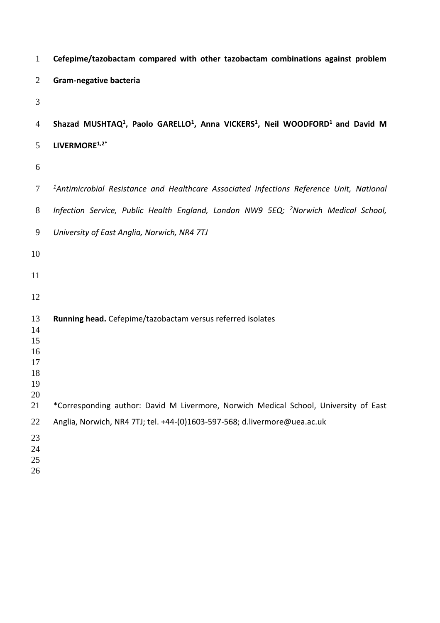| $\mathbf{1}$                     | Cefepime/tazobactam compared with other tazobactam combinations against problem                                               |
|----------------------------------|-------------------------------------------------------------------------------------------------------------------------------|
| $\overline{2}$                   | Gram-negative bacteria                                                                                                        |
| 3                                |                                                                                                                               |
| $\overline{4}$                   | Shazad MUSHTAQ <sup>1</sup> , Paolo GARELLO <sup>1</sup> , Anna VICKERS <sup>1</sup> , Neil WOODFORD <sup>1</sup> and David M |
| 5                                | LIVERMORE <sup>1,2*</sup>                                                                                                     |
| 6                                |                                                                                                                               |
| 7                                | <sup>1</sup> Antimicrobial Resistance and Healthcare Associated Infections Reference Unit, National                           |
| 8                                | Infection Service, Public Health England, London NW9 5EQ; <sup>2</sup> Norwich Medical School,                                |
| 9                                | University of East Anglia, Norwich, NR4 7TJ                                                                                   |
| 10                               |                                                                                                                               |
| 11                               |                                                                                                                               |
| 12                               |                                                                                                                               |
| 13<br>14<br>15<br>16<br>17<br>18 | Running head. Cefepime/tazobactam versus referred isolates                                                                    |
| 19<br>20                         |                                                                                                                               |
| 21                               | *Corresponding author: David M Livermore, Norwich Medical School, University of East                                          |
| 22<br>23<br>24<br>25<br>26       | Anglia, Norwich, NR4 7TJ; tel. +44-(0)1603-597-568; d.livermore@uea.ac.uk                                                     |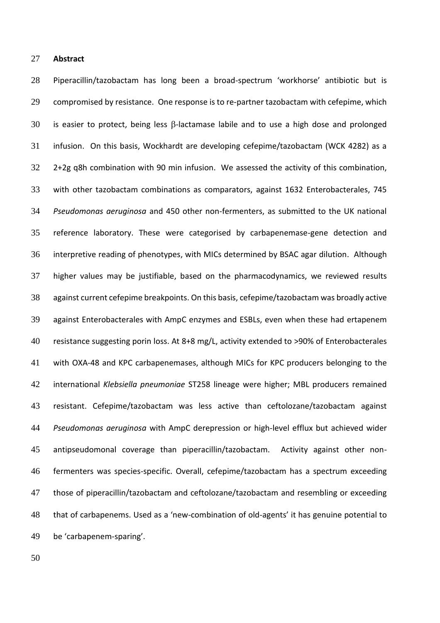### **Abstract**

 Piperacillin/tazobactam has long been a broad-spectrum 'workhorse' antibiotic but is compromised by resistance. One response is to re-partner tazobactam with cefepime, which 30 is easier to protect, being less  $\beta$ -lactamase labile and to use a high dose and prolonged infusion. On this basis, Wockhardt are developing cefepime/tazobactam (WCK 4282) as a 2+2g q8h combination with 90 min infusion. We assessed the activity of this combination, with other tazobactam combinations as comparators, against 1632 Enterobacterales, 745 *Pseudomonas aeruginosa* and 450 other non-fermenters, as submitted to the UK national reference laboratory. These were categorised by carbapenemase-gene detection and interpretive reading of phenotypes, with MICs determined by BSAC agar dilution. Although higher values may be justifiable, based on the pharmacodynamics, we reviewed results against current cefepime breakpoints. On this basis, cefepime/tazobactam was broadly active against Enterobacterales with AmpC enzymes and ESBLs, even when these had ertapenem resistance suggesting porin loss. At 8+8 mg/L, activity extended to >90% of Enterobacterales with OXA-48 and KPC carbapenemases, although MICs for KPC producers belonging to the international *Klebsiella pneumoniae* ST258 lineage were higher; MBL producers remained resistant. Cefepime/tazobactam was less active than ceftolozane/tazobactam against *Pseudomonas aeruginosa* with AmpC derepression or high-level efflux but achieved wider antipseudomonal coverage than piperacillin/tazobactam. Activity against other non- fermenters was species-specific. Overall, cefepime/tazobactam has a spectrum exceeding those of piperacillin/tazobactam and ceftolozane/tazobactam and resembling or exceeding that of carbapenems. Used as a 'new-combination of old-agents' it has genuine potential to be 'carbapenem-sparing'.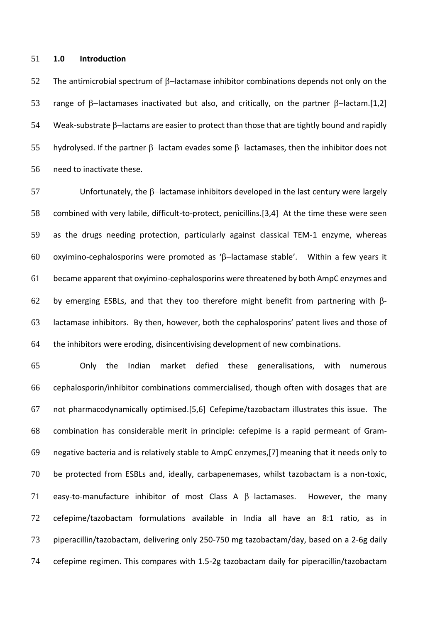### **1.0 Introduction**

52 The antimicrobial spectrum of  $\beta$ -lactamase inhibitor combinations depends not only on the 53 range of β-lactamases inactivated but also, and critically, on the partner β-lactam.[1,2] 54 Weak-substrate β-lactams are easier to protect than those that are tightly bound and rapidly 55 hydrolysed. If the partner  $\beta$ -lactam evades some  $\beta$ -lactamases, then the inhibitor does not need to inactivate these.

57 Unfortunately, the B-lactamase inhibitors developed in the last century were largely combined with very labile, difficult-to-protect, penicillins.[3,4] At the time these were seen as the drugs needing protection, particularly against classical TEM-1 enzyme, whereas 60 oxyimino-cephalosporins were promoted as 'ß-lactamase stable'. Within a few years it became apparent that oxyimino-cephalosporins were threatened by both AmpC enzymes and 62 by emerging ESBLs, and that they too therefore might benefit from partnering with  $\beta$ - lactamase inhibitors. By then, however, both the cephalosporins' patent lives and those of the inhibitors were eroding, disincentivising development of new combinations.

 Only the Indian market defied these generalisations, with numerous cephalosporin/inhibitor combinations commercialised, though often with dosages that are 67 not pharmacodynamically optimised.[5,6] Cefepime/tazobactam illustrates this issue. The combination has considerable merit in principle: cefepime is a rapid permeant of Gram- negative bacteria and is relatively stable to AmpC enzymes,[7] meaning that it needs only to be protected from ESBLs and, ideally, carbapenemases, whilst tazobactam is a non-toxic, 71 easy-to-manufacture inhibitor of most Class A  $\beta$ -lactamases. However, the many cefepime/tazobactam formulations available in India all have an 8:1 ratio, as in piperacillin/tazobactam, delivering only 250-750 mg tazobactam/day, based on a 2-6g daily cefepime regimen. This compares with 1.5-2g tazobactam daily for piperacillin/tazobactam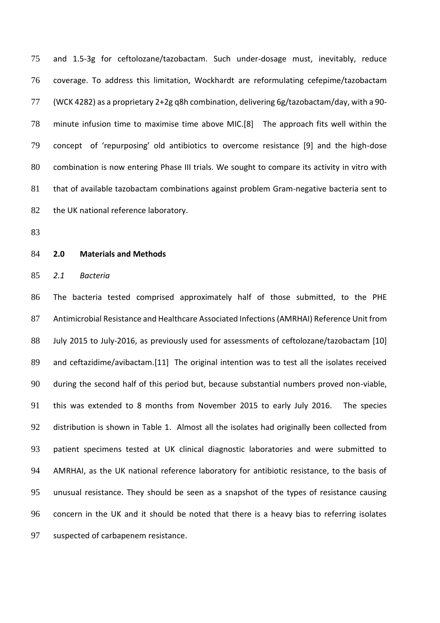and 1.5-3g for ceftolozane/tazobactam. Such under-dosage must, inevitably, reduce coverage. To address this limitation, Wockhardt are reformulating cefepime/tazobactam (WCK 4282) as a proprietary 2+2g q8h combination, delivering 6g/tazobactam/day, with a 90- minute infusion time to maximise time above MIC.[8] The approach fits well within the concept of 'repurposing' old antibiotics to overcome resistance [9] and the high-dose combination is now entering Phase III trials. We sought to compare its activity in vitro with that of available tazobactam combinations against problem Gram-negative bacteria sent to 82 the UK national reference laboratory.

### **2.0 Materials and Methods**

*2.1 Bacteria*

 The bacteria tested comprised approximately half of those submitted, to the PHE Antimicrobial Resistance and Healthcare Associated Infections (AMRHAI) Reference Unit from July 2015 to July-2016, as previously used for assessments of ceftolozane/tazobactam [10] and ceftazidime/avibactam.[11] The original intention was to test all the isolates received during the second half of this period but, because substantial numbers proved non-viable, this was extended to 8 months from November 2015 to early July 2016. The species distribution is shown in Table 1. Almost all the isolates had originally been collected from patient specimens tested at UK clinical diagnostic laboratories and were submitted to AMRHAI, as the UK national reference laboratory for antibiotic resistance, to the basis of unusual resistance. They should be seen as a snapshot of the types of resistance causing concern in the UK and it should be noted that there is a heavy bias to referring isolates suspected of carbapenem resistance.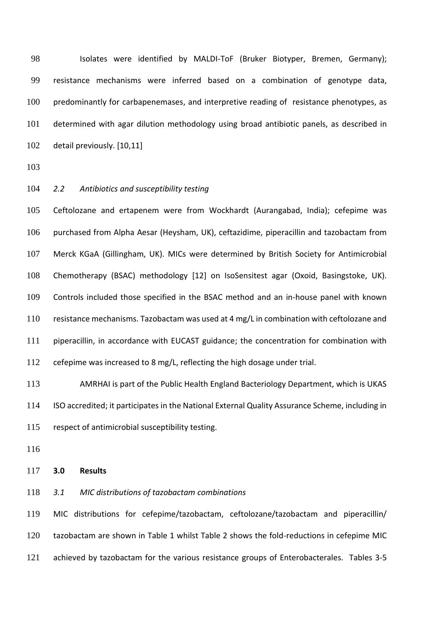98 Isolates were identified by MALDI-ToF (Bruker Biotyper, Bremen, Germany); resistance mechanisms were inferred based on a combination of genotype data, predominantly for carbapenemases, and interpretive reading of resistance phenotypes, as determined with agar dilution methodology using broad antibiotic panels, as described in detail previously. [10,11]

*2.2 Antibiotics and susceptibility testing*

 Ceftolozane and ertapenem were from Wockhardt (Aurangabad, India); cefepime was purchased from Alpha Aesar (Heysham, UK), ceftazidime, piperacillin and tazobactam from Merck KGaA (Gillingham, UK). MICs were determined by British Society for Antimicrobial Chemotherapy (BSAC) methodology [12] on IsoSensitest agar (Oxoid, Basingstoke, UK). Controls included those specified in the BSAC method and an in-house panel with known resistance mechanisms. Tazobactam was used at 4 mg/L in combination with ceftolozane and piperacillin, in accordance with EUCAST guidance; the concentration for combination with cefepime was increased to 8 mg/L, reflecting the high dosage under trial.

 AMRHAI is part of the Public Health England Bacteriology Department, which is UKAS ISO accredited; it participates in the National External Quality Assurance Scheme, including in respect of antimicrobial susceptibility testing.

**3.0 Results**

*3.1 MIC distributions of tazobactam combinations*

 MIC distributions for cefepime/tazobactam, ceftolozane/tazobactam and piperacillin/ tazobactam are shown in Table 1 whilst Table 2 shows the fold-reductions in cefepime MIC 121 achieved by tazobactam for the various resistance groups of Enterobacterales. Tables 3-5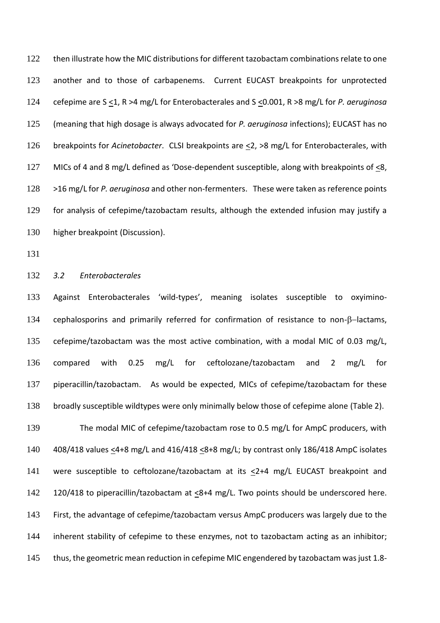then illustrate how the MIC distributions for different tazobactam combinations relate to one another and to those of carbapenems. Current EUCAST breakpoints for unprotected cefepime are S <1, R >4 mg/L for Enterobacterales and S <0.001, R >8 mg/L for *P. aeruginosa* (meaning that high dosage is always advocated for *P. aeruginosa* infections); EUCAST has no breakpoints for *Acinetobacter*. CLSI breakpoints are <2, >8 mg/L for Enterobacterales, with MICs of 4 and 8 mg/L defined as 'Dose-dependent susceptible, along with breakpoints of <8, >16 mg/L for *P. aeruginosa* and other non-fermenters. These were taken as reference points for analysis of cefepime/tazobactam results, although the extended infusion may justify a higher breakpoint (Discussion).

# *3.2 Enterobacterales*

 Against Enterobacterales 'wild-types', meaning isolates susceptible to oxyimino-134 cephalosporins and primarily referred for confirmation of resistance to non-β-lactams, cefepime/tazobactam was the most active combination, with a modal MIC of 0.03 mg/L, compared with 0.25 mg/L for ceftolozane/tazobactam and 2 mg/L for piperacillin/tazobactam. As would be expected, MICs of cefepime/tazobactam for these broadly susceptible wildtypes were only minimally below those of cefepime alone (Table 2).

 The modal MIC of cefepime/tazobactam rose to 0.5 mg/L for AmpC producers, with 408/418 values <4+8 mg/L and 416/418 <8+8 mg/L; by contrast only 186/418 AmpC isolates 141 were susceptible to ceftolozane/tazobactam at its  $\leq$ 2+4 mg/L EUCAST breakpoint and 142 120/418 to piperacillin/tazobactam at  $\leq$ 8+4 mg/L. Two points should be underscored here. First, the advantage of cefepime/tazobactam versus AmpC producers was largely due to the inherent stability of cefepime to these enzymes, not to tazobactam acting as an inhibitor; thus, the geometric mean reduction in cefepime MIC engendered by tazobactam was just 1.8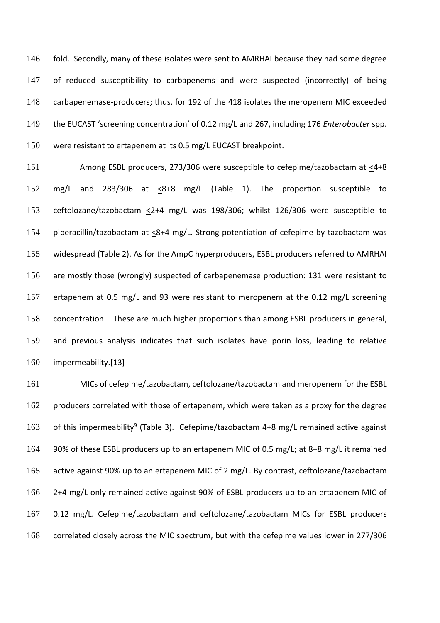fold. Secondly, many of these isolates were sent to AMRHAI because they had some degree of reduced susceptibility to carbapenems and were suspected (incorrectly) of being carbapenemase-producers; thus, for 192 of the 418 isolates the meropenem MIC exceeded the EUCAST 'screening concentration' of 0.12 mg/L and 267, including 176 *Enterobacter* spp. were resistant to ertapenem at its 0.5 mg/L EUCAST breakpoint.

 Among ESBL producers, 273/306 were susceptible to cefepime/tazobactam at <4+8 152 mg/L and 283/306 at  $\leq 8+8$  mg/L (Table 1). The proportion susceptible to ceftolozane/tazobactam <2+4 mg/L was 198/306; whilst 126/306 were susceptible to 154 piperacillin/tazobactam at  $\leq$ 8+4 mg/L. Strong potentiation of cefepime by tazobactam was widespread (Table 2). As for the AmpC hyperproducers, ESBL producers referred to AMRHAI are mostly those (wrongly) suspected of carbapenemase production: 131 were resistant to ertapenem at 0.5 mg/L and 93 were resistant to meropenem at the 0.12 mg/L screening concentration. These are much higher proportions than among ESBL producers in general, and previous analysis indicates that such isolates have porin loss, leading to relative impermeability.[13]

 MICs of cefepime/tazobactam, ceftolozane/tazobactam and meropenem for the ESBL 162 producers correlated with those of ertapenem, which were taken as a proxy for the degree 163 of this impermeability<sup>9</sup> (Table 3). Cefepime/tazobactam 4+8 mg/L remained active against 90% of these ESBL producers up to an ertapenem MIC of 0.5 mg/L; at 8+8 mg/L it remained active against 90% up to an ertapenem MIC of 2 mg/L. By contrast, ceftolozane/tazobactam 2+4 mg/L only remained active against 90% of ESBL producers up to an ertapenem MIC of 0.12 mg/L. Cefepime/tazobactam and ceftolozane/tazobactam MICs for ESBL producers correlated closely across the MIC spectrum, but with the cefepime values lower in 277/306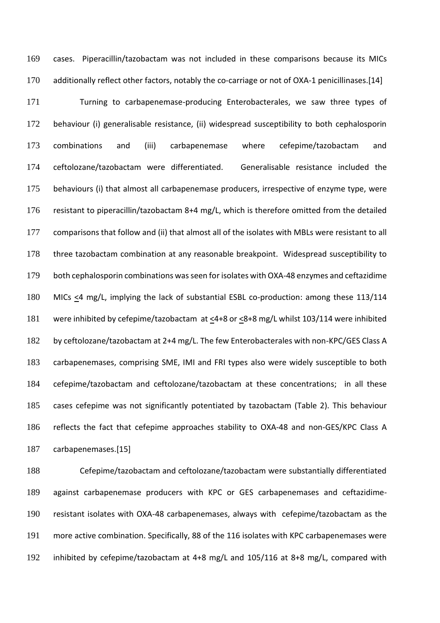cases. Piperacillin/tazobactam was not included in these comparisons because its MICs 170 additionally reflect other factors, notably the co-carriage or not of OXA-1 penicillinases.[14]

 Turning to carbapenemase-producing Enterobacterales, we saw three types of behaviour (i) generalisable resistance, (ii) widespread susceptibility to both cephalosporin combinations and (iii) carbapenemase where cefepime/tazobactam and ceftolozane/tazobactam were differentiated. Generalisable resistance included the behaviours (i) that almost all carbapenemase producers, irrespective of enzyme type, were resistant to piperacillin/tazobactam 8+4 mg/L, which is therefore omitted from the detailed comparisons that follow and (ii) that almost all of the isolates with MBLs were resistant to all three tazobactam combination at any reasonable breakpoint. Widespread susceptibility to both cephalosporin combinations was seen for isolates with OXA-48 enzymes and ceftazidime 180 MICs <4 mg/L, implying the lack of substantial ESBL co-production: among these 113/114 181 were inhibited by cefepime/tazobactam at <4+8 or <8+8 mg/L whilst 103/114 were inhibited by ceftolozane/tazobactam at 2+4 mg/L. The few Enterobacterales with non-KPC/GES Class A carbapenemases, comprising SME, IMI and FRI types also were widely susceptible to both cefepime/tazobactam and ceftolozane/tazobactam at these concentrations; in all these cases cefepime was not significantly potentiated by tazobactam (Table 2). This behaviour reflects the fact that cefepime approaches stability to OXA-48 and non-GES/KPC Class A carbapenemases.[15]

 Cefepime/tazobactam and ceftolozane/tazobactam were substantially differentiated against carbapenemase producers with KPC or GES carbapenemases and ceftazidime- resistant isolates with OXA-48 carbapenemases, always with cefepime/tazobactam as the more active combination. Specifically, 88 of the 116 isolates with KPC carbapenemases were inhibited by cefepime/tazobactam at 4+8 mg/L and 105/116 at 8+8 mg/L, compared with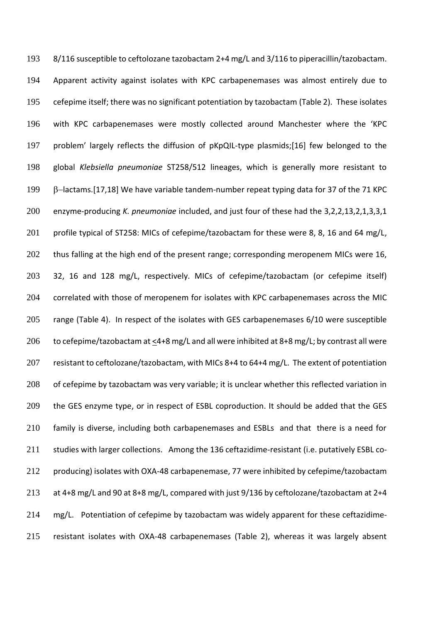8/116 susceptible to ceftolozane tazobactam 2+4 mg/L and 3/116 to piperacillin/tazobactam. Apparent activity against isolates with KPC carbapenemases was almost entirely due to cefepime itself; there was no significant potentiation by tazobactam (Table 2). These isolates with KPC carbapenemases were mostly collected around Manchester where the 'KPC problem' largely reflects the diffusion of pKpQIL-type plasmids;[16] few belonged to the global *Klebsiella pneumoniae* ST258/512 lineages, which is generally more resistant to −lactams.[17,18] We have variable tandem-number repeat typing data for 37 of the 71 KPC enzyme-producing *K. pneumoniae* included, and just four of these had the 3,2,2,13,2,1,3,3,1 201 profile typical of ST258: MICs of cefepime/tazobactam for these were 8, 8, 16 and 64 mg/L, 202 thus falling at the high end of the present range; corresponding meropenem MICs were 16, 32, 16 and 128 mg/L, respectively. MICs of cefepime/tazobactam (or cefepime itself) correlated with those of meropenem for isolates with KPC carbapenemases across the MIC range (Table 4). In respect of the isolates with GES carbapenemases 6/10 were susceptible 206 to cefepime/tazobactam at  $\leq 4+8$  mg/L and all were inhibited at 8+8 mg/L; by contrast all were 207 resistant to ceftolozane/tazobactam, with MICs 8+4 to 64+4 mg/L. The extent of potentiation 208 of cefepime by tazobactam was very variable; it is unclear whether this reflected variation in 209 the GES enzyme type, or in respect of ESBL coproduction. It should be added that the GES family is diverse, including both carbapenemases and ESBLs and that there is a need for studies with larger collections. Among the 136 ceftazidime-resistant (i.e. putatively ESBL co- producing) isolates with OXA-48 carbapenemase, 77 were inhibited by cefepime/tazobactam at 4+8 mg/L and 90 at 8+8 mg/L, compared with just 9/136 by ceftolozane/tazobactam at 2+4 mg/L. Potentiation of cefepime by tazobactam was widely apparent for these ceftazidime-resistant isolates with OXA-48 carbapenemases (Table 2), whereas it was largely absent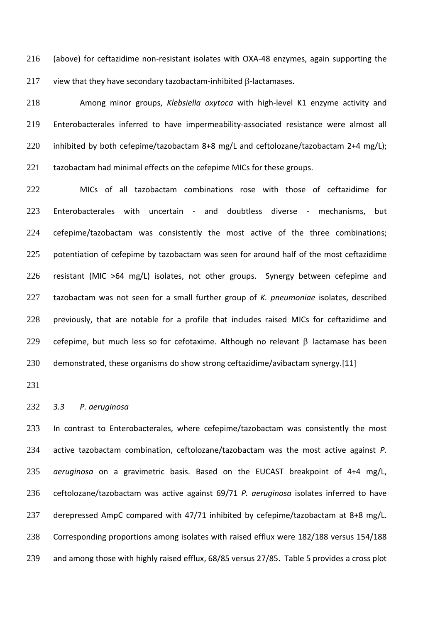(above) for ceftazidime non-resistant isolates with OXA-48 enzymes, again supporting the view that they have secondary tazobactam-inhibited  $\beta$ -lactamases.

 Among minor groups, *Klebsiella oxytoca* with high-level K1 enzyme activity and Enterobacterales inferred to have impermeability-associated resistance were almost all 220 inhibited by both cefepime/tazobactam 8+8 mg/L and ceftolozane/tazobactam 2+4 mg/L); 221 tazobactam had minimal effects on the cefepime MICs for these groups.

 MICs of all tazobactam combinations rose with those of ceftazidime for Enterobacterales with uncertain - and doubtless diverse - mechanisms, but cefepime/tazobactam was consistently the most active of the three combinations; 225 potentiation of cefepime by tazobactam was seen for around half of the most ceftazidime resistant (MIC >64 mg/L) isolates, not other groups. Synergy between cefepime and tazobactam was not seen for a small further group of *K. pneumoniae* isolates, described 228 previously, that are notable for a profile that includes raised MICs for ceftazidime and 229 cefepime, but much less so for cefotaxime. Although no relevant β-lactamase has been demonstrated, these organisms do show strong ceftazidime/avibactam synergy.[11]

#### *3.3 P. aeruginosa*

233 In contrast to Enterobacterales, where cefepime/tazobactam was consistently the most active tazobactam combination, ceftolozane/tazobactam was the most active against *P. aeruginosa* on a gravimetric basis. Based on the EUCAST breakpoint of 4+4 mg/L, ceftolozane/tazobactam was active against 69/71 *P. aeruginosa* isolates inferred to have derepressed AmpC compared with 47/71 inhibited by cefepime/tazobactam at 8+8 mg/L. Corresponding proportions among isolates with raised efflux were 182/188 versus 154/188 and among those with highly raised efflux, 68/85 versus 27/85. Table 5 provides a cross plot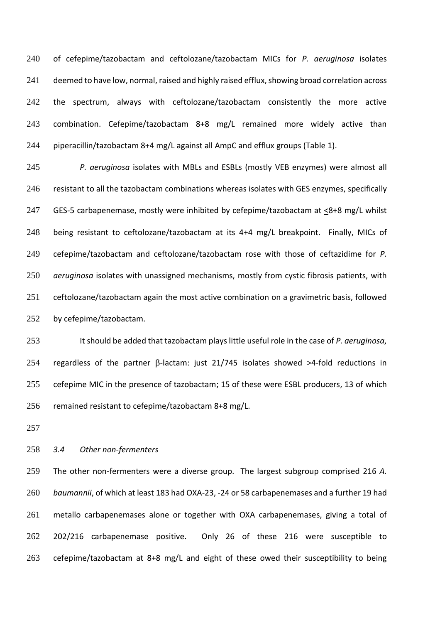of cefepime/tazobactam and ceftolozane/tazobactam MICs for *P. aeruginosa* isolates 241 deemed to have low, normal, raised and highly raised efflux, showing broad correlation across 242 the spectrum, always with ceftolozane/tazobactam consistently the more active combination. Cefepime/tazobactam 8+8 mg/L remained more widely active than piperacillin/tazobactam 8+4 mg/L against all AmpC and efflux groups (Table 1).

 *P. aeruginosa* isolates with MBLs and ESBLs (mostly VEB enzymes) were almost all 246 resistant to all the tazobactam combinations whereas isolates with GES enzymes, specifically 247 GES-5 carbapenemase, mostly were inhibited by cefepime/tazobactam at  $\leq$ 8+8 mg/L whilst being resistant to ceftolozane/tazobactam at its 4+4 mg/L breakpoint. Finally, MICs of cefepime/tazobactam and ceftolozane/tazobactam rose with those of ceftazidime for *P. aeruginosa* isolates with unassigned mechanisms, mostly from cystic fibrosis patients, with ceftolozane/tazobactam again the most active combination on a gravimetric basis, followed by cefepime/tazobactam.

 It should be added that tazobactam plays little useful role in the case of *P. aeruginosa*, 254 regardless of the partner  $\beta$ -lactam: just 21/745 isolates showed >4-fold reductions in cefepime MIC in the presence of tazobactam; 15 of these were ESBL producers, 13 of which remained resistant to cefepime/tazobactam 8+8 mg/L.

## *3.4 Other non-fermenters*

 The other non-fermenters were a diverse group. The largest subgroup comprised 216 *A. baumannii*, of which at least 183 had OXA-23, -24 or 58 carbapenemases and a further 19 had 261 metallo carbapenemases alone or together with OXA carbapenemases, giving a total of 202/216 carbapenemase positive. Only 26 of these 216 were susceptible to cefepime/tazobactam at 8+8 mg/L and eight of these owed their susceptibility to being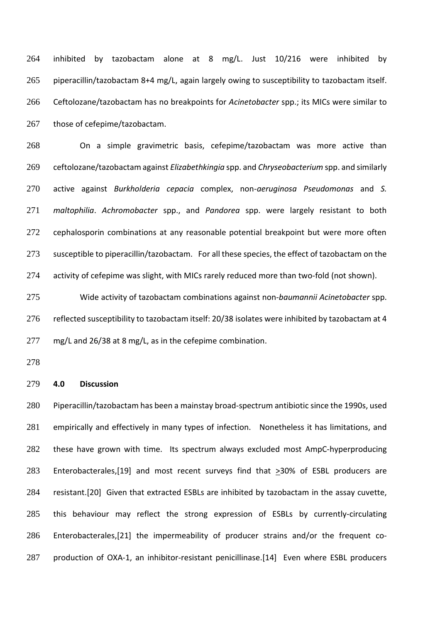inhibited by tazobactam alone at 8 mg/L. Just 10/216 were inhibited by piperacillin/tazobactam 8+4 mg/L, again largely owing to susceptibility to tazobactam itself. Ceftolozane/tazobactam has no breakpoints for *Acinetobacter* spp.; its MICs were similar to 267 those of cefepime/tazobactam.

 On a simple gravimetric basis, cefepime/tazobactam was more active than ceftolozane/tazobactam against *Elizabethkingia* spp. and *Chryseobacterium* spp. and similarly active against *Burkholderia cepacia* complex, non-*aeruginosa Pseudomonas* and *S. maltophilia*. *Achromobacter* spp., and *Pandorea* spp. were largely resistant to both cephalosporin combinations at any reasonable potential breakpoint but were more often 273 susceptible to piperacillin/tazobactam. For all these species, the effect of tazobactam on the activity of cefepime was slight, with MICs rarely reduced more than two-fold (not shown).

 Wide activity of tazobactam combinations against non-*baumannii Acinetobacter* spp. reflected susceptibility to tazobactam itself: 20/38 isolates were inhibited by tazobactam at 4 mg/L and 26/38 at 8 mg/L, as in the cefepime combination.

### **4.0 Discussion**

 Piperacillin/tazobactam has been a mainstay broad-spectrum antibiotic since the 1990s, used 281 empirically and effectively in many types of infection. Nonetheless it has limitations, and these have grown with time. Its spectrum always excluded most AmpC-hyperproducing 283 Enterobacterales,[19] and most recent surveys find that  $\geq$ 30% of ESBL producers are resistant.[20] Given that extracted ESBLs are inhibited by tazobactam in the assay cuvette, this behaviour may reflect the strong expression of ESBLs by currently-circulating Enterobacterales,[21] the impermeability of producer strains and/or the frequent co-production of OXA-1, an inhibitor-resistant penicillinase.[14] Even where ESBL producers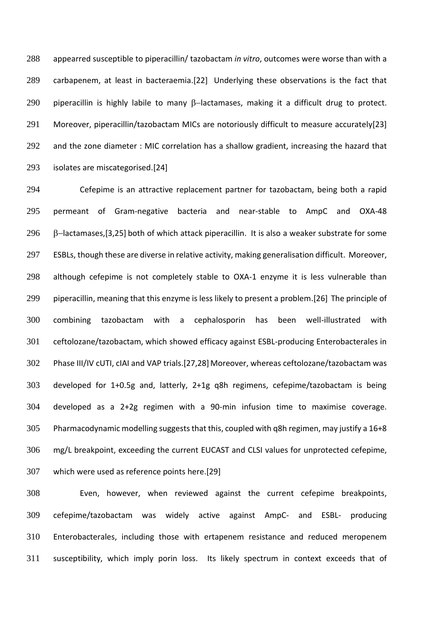appearred susceptible to piperacillin/ tazobactam *in vitro*, outcomes were worse than with a carbapenem, at least in bacteraemia.[22] Underlying these observations is the fact that 290 piperacillin is highly labile to many β-lactamases, making it a difficult drug to protect. 291 Moreover, piperacillin/tazobactam MICs are notoriously difficult to measure accurately[23] 292 and the zone diameter : MIC correlation has a shallow gradient, increasing the hazard that isolates are miscategorised.[24]

 Cefepime is an attractive replacement partner for tazobactam, being both a rapid permeant of Gram-negative bacteria and near-stable to AmpC and OXA-48 296 B-lactamases, [3,25] both of which attack piperacillin. It is also a weaker substrate for some ESBLs, though these are diverse in relative activity, making generalisation difficult. Moreover, although cefepime is not completely stable to OXA-1 enzyme it is less vulnerable than piperacillin, meaning that this enzyme is less likely to present a problem.[26] The principle of combining tazobactam with a cephalosporin has been well-illustrated with ceftolozane/tazobactam, which showed efficacy against ESBL-producing Enterobacterales in Phase III/IV cUTI, cIAI and VAP trials.[27,28] Moreover, whereas ceftolozane/tazobactam was developed for 1+0.5g and, latterly, 2+1g q8h regimens, cefepime/tazobactam is being developed as a 2+2g regimen with a 90-min infusion time to maximise coverage. 305 Pharmacodynamic modelling suggests that this, coupled with q8h regimen, may justify a 16+8 mg/L breakpoint, exceeding the current EUCAST and CLSI values for unprotected cefepime, which were used as reference points here.[29]

 Even, however, when reviewed against the current cefepime breakpoints, cefepime/tazobactam was widely active against AmpC- and ESBL- producing Enterobacterales, including those with ertapenem resistance and reduced meropenem susceptibility, which imply porin loss. Its likely spectrum in context exceeds that of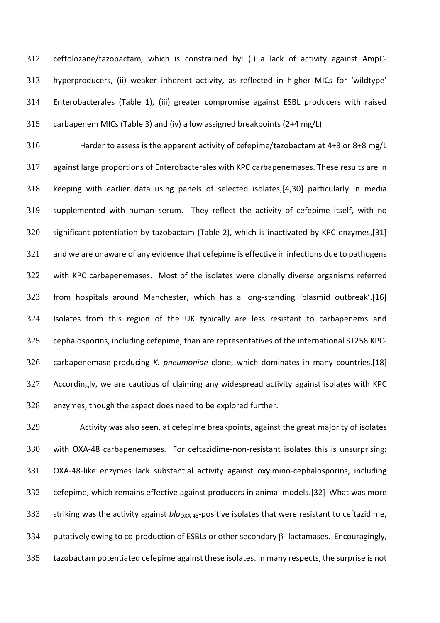ceftolozane/tazobactam, which is constrained by: (i) a lack of activity against AmpC- hyperproducers, (ii) weaker inherent activity, as reflected in higher MICs for 'wildtype' Enterobacterales (Table 1), (iii) greater compromise against ESBL producers with raised carbapenem MICs (Table 3) and (iv) a low assigned breakpoints (2+4 mg/L).

 Harder to assess is the apparent activity of cefepime/tazobactam at 4+8 or 8+8 mg/L against large proportions of Enterobacterales with KPC carbapenemases. These results are in keeping with earlier data using panels of selected isolates,[4,30] particularly in media supplemented with human serum. They reflect the activity of cefepime itself, with no significant potentiation by tazobactam (Table 2), which is inactivated by KPC enzymes,[31] and we are unaware of any evidence that cefepime is effective in infections due to pathogens with KPC carbapenemases. Most of the isolates were clonally diverse organisms referred from hospitals around Manchester, which has a long-standing 'plasmid outbreak'.[16] Isolates from this region of the UK typically are less resistant to carbapenems and cephalosporins, including cefepime, than are representatives of the international ST258 KPC- carbapenemase-producing *K. pneumoniae* clone, which dominates in many countries.[18] Accordingly, we are cautious of claiming any widespread activity against isolates with KPC enzymes, though the aspect does need to be explored further.

 Activity was also seen, at cefepime breakpoints, against the great majority of isolates with OXA-48 carbapenemases. For ceftazidime-non-resistant isolates this is unsurprising: OXA-48-like enzymes lack substantial activity against oxyimino-cephalosporins, including cefepime, which remains effective against producers in animal models.[32] What was more 333 striking was the activity against *bla*<sub>OXA-48</sub>-positive isolates that were resistant to ceftazidime, 334 putatively owing to co-production of ESBLs or other secondary β-lactamases. Encouragingly, tazobactam potentiated cefepime against these isolates. In many respects, the surprise is not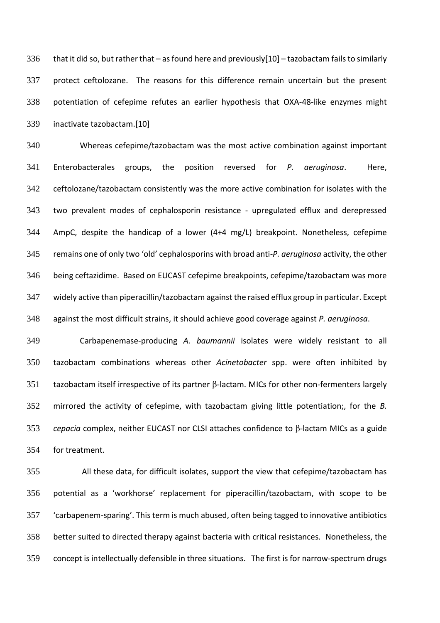336 that it did so, but rather that – as found here and previously[10] – tazobactam fails to similarly protect ceftolozane. The reasons for this difference remain uncertain but the present potentiation of cefepime refutes an earlier hypothesis that OXA-48-like enzymes might inactivate tazobactam.[10]

 Whereas cefepime/tazobactam was the most active combination against important Enterobacterales groups, the position reversed for *P. aeruginosa*. Here, ceftolozane/tazobactam consistently was the more active combination for isolates with the two prevalent modes of cephalosporin resistance - upregulated efflux and derepressed AmpC, despite the handicap of a lower (4+4 mg/L) breakpoint. Nonetheless, cefepime remains one of only two 'old' cephalosporins with broad anti-*P. aeruginosa* activity, the other being ceftazidime. Based on EUCAST cefepime breakpoints, cefepime/tazobactam was more widely active than piperacillin/tazobactam against the raised efflux group in particular. Except against the most difficult strains, it should achieve good coverage against *P. aeruginosa*.

 Carbapenemase-producing *A. baumannii* isolates were widely resistant to all tazobactam combinations whereas other *Acinetobacter* spp. were often inhibited by tazobactam itself irrespective of its partner  $\beta$ -lactam. MICs for other non-fermenters largely mirrored the activity of cefepime, with tazobactam giving little potentiation;, for the *B. cepacia* complex, neither EUCAST nor CLSI attaches confidence to  $\beta$ -lactam MICs as a guide for treatment.

 All these data, for difficult isolates, support the view that cefepime/tazobactam has potential as a 'workhorse' replacement for piperacillin/tazobactam, with scope to be 'carbapenem-sparing'. This term is much abused, often being tagged to innovative antibiotics better suited to directed therapy against bacteria with critical resistances. Nonetheless, the concept is intellectually defensible in three situations. The first is for narrow-spectrum drugs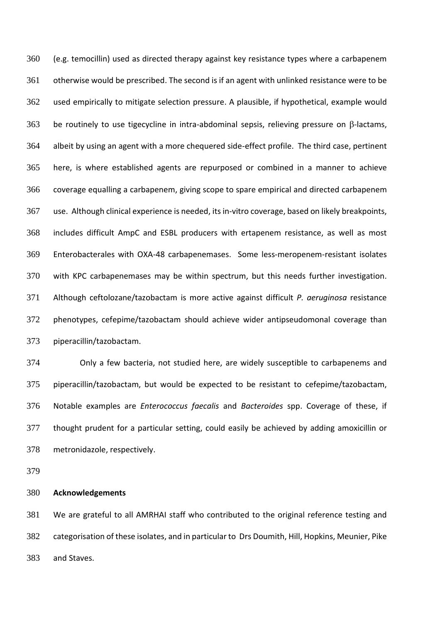(e.g. temocillin) used as directed therapy against key resistance types where a carbapenem otherwise would be prescribed. The second is if an agent with unlinked resistance were to be used empirically to mitigate selection pressure. A plausible, if hypothetical, example would be routinely to use tigecycline in intra-abdominal sepsis, relieving pressure on  $\beta$ -lactams, albeit by using an agent with a more chequered side-effect profile. The third case, pertinent here, is where established agents are repurposed or combined in a manner to achieve coverage equalling a carbapenem, giving scope to spare empirical and directed carbapenem use. Although clinical experience is needed, itsin-vitro coverage, based on likely breakpoints, includes difficult AmpC and ESBL producers with ertapenem resistance, as well as most Enterobacterales with OXA-48 carbapenemases. Some less-meropenem-resistant isolates with KPC carbapenemases may be within spectrum, but this needs further investigation. Although ceftolozane/tazobactam is more active against difficult *P. aeruginosa* resistance phenotypes, cefepime/tazobactam should achieve wider antipseudomonal coverage than piperacillin/tazobactam.

 Only a few bacteria, not studied here, are widely susceptible to carbapenems and piperacillin/tazobactam, but would be expected to be resistant to cefepime/tazobactam, Notable examples are *Enterococcus faecalis* and *Bacteroides* spp. Coverage of these, if thought prudent for a particular setting, could easily be achieved by adding amoxicillin or metronidazole, respectively.

## **Acknowledgements**

 We are grateful to all AMRHAI staff who contributed to the original reference testing and categorisation of these isolates, and in particular to Drs Doumith, Hill, Hopkins, Meunier, Pike and Staves.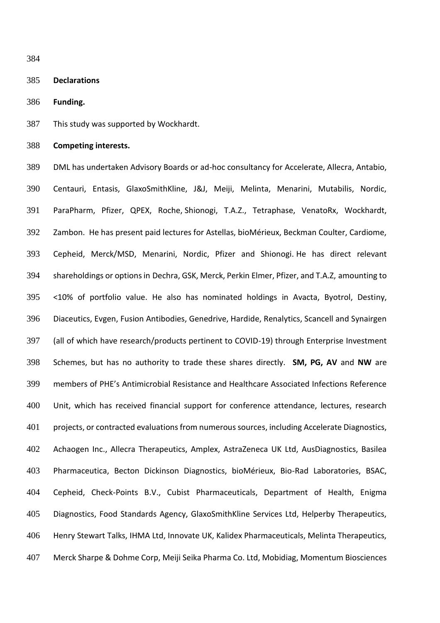#### **Declarations**

**Funding.**

This study was supported by Wockhardt.

**Competing interests.**

 DML has undertaken Advisory Boards or ad-hoc consultancy for Accelerate, Allecra, Antabio, Centauri, Entasis, GlaxoSmithKline, J&J, Meiji, Melinta, Menarini, Mutabilis, Nordic, ParaPharm, Pfizer, QPEX, Roche, Shionogi, T.A.Z., Tetraphase, VenatoRx, Wockhardt, Zambon. He has present paid lectures for Astellas, bioMérieux, Beckman Coulter, Cardiome, Cepheid, Merck/MSD, Menarini, Nordic, Pfizer and Shionogi. He has direct relevant shareholdings or options in Dechra, GSK, Merck, Perkin Elmer, Pfizer, and T.A.Z, amounting to <10% of portfolio value. He also has nominated holdings in Avacta, Byotrol, Destiny, Diaceutics, Evgen, Fusion Antibodies, Genedrive, Hardide, Renalytics, Scancell and Synairgen (all of which have research/products pertinent to COVID-19) through Enterprise Investment Schemes, but has no authority to trade these shares directly. **SM, PG, AV** and **NW** are members of PHE's Antimicrobial Resistance and Healthcare Associated Infections Reference Unit, which has received financial support for conference attendance, lectures, research projects, or contracted evaluations from numerous sources, including Accelerate Diagnostics, Achaogen Inc., Allecra Therapeutics, Amplex, AstraZeneca UK Ltd, AusDiagnostics, Basilea Pharmaceutica, Becton Dickinson Diagnostics, bioMérieux, Bio-Rad Laboratories, BSAC, Cepheid, Check-Points B.V., Cubist Pharmaceuticals, Department of Health, Enigma Diagnostics, Food Standards Agency, GlaxoSmithKline Services Ltd, Helperby Therapeutics, Henry Stewart Talks, IHMA Ltd, Innovate UK, Kalidex Pharmaceuticals, Melinta Therapeutics, Merck Sharpe & Dohme Corp, Meiji Seika Pharma Co. Ltd, Mobidiag, Momentum Biosciences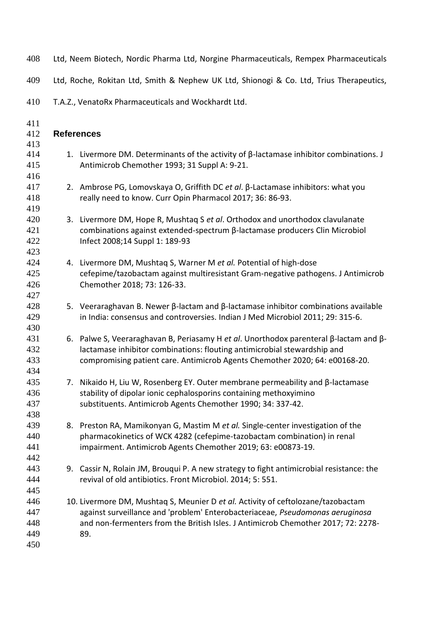| 408                             |                   | Ltd, Neem Biotech, Nordic Pharma Ltd, Norgine Pharmaceuticals, Rempex Pharmaceuticals                                                                                                                                                                          |
|---------------------------------|-------------------|----------------------------------------------------------------------------------------------------------------------------------------------------------------------------------------------------------------------------------------------------------------|
| 409                             |                   | Ltd, Roche, Rokitan Ltd, Smith & Nephew UK Ltd, Shionogi & Co. Ltd, Trius Therapeutics,                                                                                                                                                                        |
| 410                             |                   | T.A.Z., VenatoRx Pharmaceuticals and Wockhardt Ltd.                                                                                                                                                                                                            |
| 411<br>412                      | <b>References</b> |                                                                                                                                                                                                                                                                |
| 413<br>414<br>415<br>416        |                   | 1. Livermore DM. Determinants of the activity of $\beta$ -lactamase inhibitor combinations. J<br>Antimicrob Chemother 1993; 31 Suppl A: 9-21.                                                                                                                  |
| 417<br>418<br>419               |                   | 2. Ambrose PG, Lomovskaya O, Griffith DC et al. β-Lactamase inhibitors: what you<br>really need to know. Curr Opin Pharmacol 2017; 36: 86-93.                                                                                                                  |
| 420<br>421<br>422<br>423        |                   | 3. Livermore DM, Hope R, Mushtaq S et al. Orthodox and unorthodox clavulanate<br>combinations against extended-spectrum $\beta$ -lactamase producers Clin Microbiol<br>Infect 2008;14 Suppl 1: 189-93                                                          |
| 424<br>425<br>426<br>427        |                   | 4. Livermore DM, Mushtag S, Warner M et al. Potential of high-dose<br>cefepime/tazobactam against multiresistant Gram-negative pathogens. J Antimicrob<br>Chemother 2018; 73: 126-33.                                                                          |
| 428<br>429<br>430               |                   | 5. Veeraraghavan B. Newer β-lactam and β-lactamase inhibitor combinations available<br>in India: consensus and controversies. Indian J Med Microbiol 2011; 29: 315-6.                                                                                          |
| 431<br>432<br>433<br>434        |                   | 6. Palwe S, Veeraraghavan B, Periasamy H et al. Unorthodox parenteral $\beta$ -lactam and $\beta$ -<br>lactamase inhibitor combinations: flouting antimicrobial stewardship and<br>compromising patient care. Antimicrob Agents Chemother 2020; 64: e00168-20. |
| 435<br>436<br>437<br>438        |                   | 7. Nikaido H, Liu W, Rosenberg EY. Outer membrane permeability and $\beta$ -lactamase<br>stability of dipolar ionic cephalosporins containing methoxyimino<br>substituents. Antimicrob Agents Chemother 1990; 34: 337-42.                                      |
| 439<br>440<br>441<br>442        |                   | 8. Preston RA, Mamikonyan G, Mastim M et al. Single-center investigation of the<br>pharmacokinetics of WCK 4282 (cefepime-tazobactam combination) in renal<br>impairment. Antimicrob Agents Chemother 2019; 63: e00873-19.                                     |
| 443<br>444<br>445               |                   | 9. Cassir N, Rolain JM, Brouqui P. A new strategy to fight antimicrobial resistance: the<br>revival of old antibiotics. Front Microbiol. 2014; 5: 551.                                                                                                         |
| 446<br>447<br>448<br>449<br>450 |                   | 10. Livermore DM, Mushtaq S, Meunier D et al. Activity of ceftolozane/tazobactam<br>against surveillance and 'problem' Enterobacteriaceae, Pseudomonas aeruginosa<br>and non-fermenters from the British Isles. J Antimicrob Chemother 2017; 72: 2278-<br>89.  |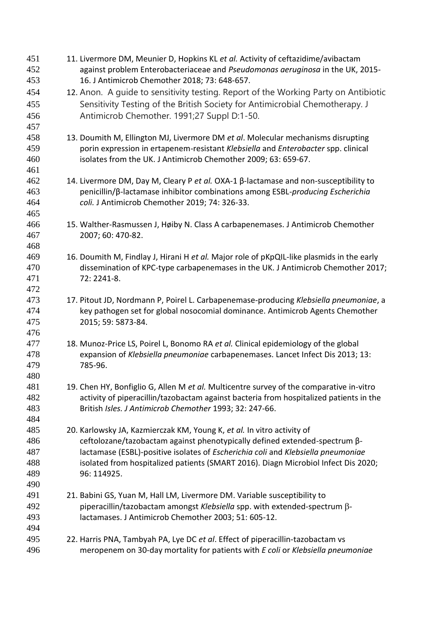11. Livermore DM, Meunier D, Hopkins KL *et al.* Activity of ceftazidime/avibactam against problem Enterobacteriaceae and *Pseudomonas aeruginosa* in the UK, 2015- 16. J Antimicrob Chemother 2018; 73: 648-657. 12. Anon. A guide to sensitivity testing. Report of the Working Party on Antibiotic Sensitivity Testing of the British Society for Antimicrobial Chemotherapy. J Antimicrob Chemother. 1991;27 Suppl D:1-50. 13. Doumith M, Ellington MJ, Livermore DM *et al*. Molecular mechanisms disrupting porin expression in ertapenem-resistant *Klebsiella* and *Enterobacter* spp. clinical isolates from the UK. J Antimicrob Chemother 2009; 63: 659-67. 14. Livermore DM, Day M, Cleary P *et al.* OXA-1 β-lactamase and non-susceptibility to penicillin/β-lactamase inhibitor combinations among ESBL-*producing Escherichia coli.* J Antimicrob Chemother 2019; 74: 326-33. 15. Walther-Rasmussen J, Høiby N. Class A carbapenemases. J Antimicrob Chemother 2007; 60: 470-82. 16. Doumith M, Findlay J, Hirani H *et al.* Major role of pKpQIL-like plasmids in the early dissemination of KPC-type carbapenemases in the UK. J Antimicrob Chemother 2017; 72: 2241-8. 17. Pitout JD, Nordmann P, Poirel L. Carbapenemase-producing *Klebsiella pneumoniae*, a key pathogen set for global nosocomial dominance. Antimicrob Agents Chemother 2015; 59: 5873-84. 18. Munoz-Price LS, Poirel L, Bonomo RA *et al.* Clinical epidemiology of the global expansion of *Klebsiella pneumoniae* carbapenemases. Lancet Infect Dis 2013; 13: 785-96. 19. Chen HY, Bonfiglio G, Allen M *et al.* Multicentre survey of the comparative in-vitro activity of piperacillin/tazobactam against bacteria from hospitalized patients in the British *Isles. J Antimicrob Chemother* 1993; 32: 247-66. 20. Karlowsky JA, Kazmierczak KM, Young K, *et al.* In vitro activity of ceftolozane/tazobactam against phenotypically defined extended-spectrum β- lactamase (ESBL)-positive isolates of *Escherichia coli* and *Klebsiella pneumoniae* isolated from hospitalized patients (SMART 2016). Diagn Microbiol Infect Dis 2020; 96: 114925. 21. Babini GS, Yuan M, Hall LM, Livermore DM. Variable susceptibility to piperacillin/tazobactam amongst *Klebsiella* spp. with extended-spectrum - lactamases. J Antimicrob Chemother 2003; 51: 605-12. 22. Harris PNA, Tambyah PA, Lye DC *et al*. Effect of piperacillin-tazobactam vs meropenem on 30-day mortality for patients with *E coli* or *Klebsiella pneumoniae*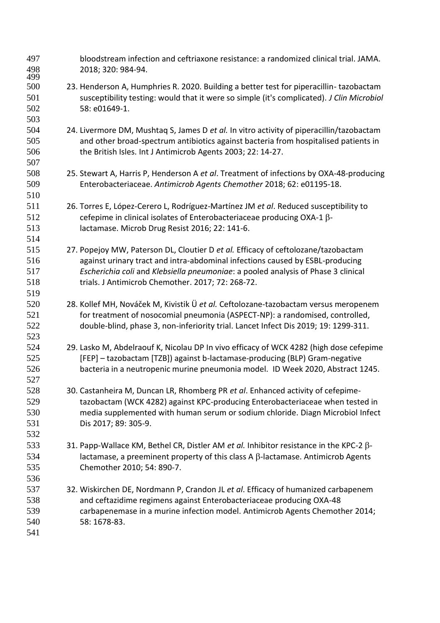| 497<br>498<br>499 | bloodstream infection and ceftriaxone resistance: a randomized clinical trial. JAMA.<br>2018; 320: 984-94.                                                                          |
|-------------------|-------------------------------------------------------------------------------------------------------------------------------------------------------------------------------------|
| 500<br>501        | 23. Henderson A, Humphries R. 2020. Building a better test for piperacillin-tazobactam<br>susceptibility testing: would that it were so simple (it's complicated). J Clin Microbiol |
| 502<br>503        | 58: e01649-1.                                                                                                                                                                       |
| 504               | 24. Livermore DM, Mushtag S, James D et al. In vitro activity of piperacillin/tazobactam                                                                                            |
| 505               | and other broad-spectrum antibiotics against bacteria from hospitalised patients in                                                                                                 |
| 506<br>507        | the British Isles. Int J Antimicrob Agents 2003; 22: 14-27.                                                                                                                         |
|                   |                                                                                                                                                                                     |
| 508<br>509        | 25. Stewart A, Harris P, Henderson A et al. Treatment of infections by OXA-48-producing                                                                                             |
| 510               | Enterobacteriaceae. Antimicrob Agents Chemother 2018; 62: e01195-18.                                                                                                                |
| 511               | 26. Torres E, López-Cerero L, Rodríguez-Martínez JM et al. Reduced susceptibility to                                                                                                |
| 512               | cefepime in clinical isolates of Enterobacteriaceae producing OXA-1 β-                                                                                                              |
| 513               | lactamase. Microb Drug Resist 2016; 22: 141-6.                                                                                                                                      |
| 514               |                                                                                                                                                                                     |
| 515               | 27. Popejoy MW, Paterson DL, Cloutier D et al. Efficacy of ceftolozane/tazobactam                                                                                                   |
| 516               | against urinary tract and intra-abdominal infections caused by ESBL-producing                                                                                                       |
| 517               | Escherichia coli and Klebsiella pneumoniae: a pooled analysis of Phase 3 clinical                                                                                                   |
| 518               | trials. J Antimicrob Chemother. 2017; 72: 268-72.                                                                                                                                   |
| 519               |                                                                                                                                                                                     |
| 520               | 28. Kollef MH, Nováček M, Kivistik Ü et al. Ceftolozane-tazobactam versus meropenem                                                                                                 |
| 521               | for treatment of nosocomial pneumonia (ASPECT-NP): a randomised, controlled,                                                                                                        |
| 522               | double-blind, phase 3, non-inferiority trial. Lancet Infect Dis 2019; 19: 1299-311.                                                                                                 |
| 523               |                                                                                                                                                                                     |
| 524               | 29. Lasko M, Abdelraouf K, Nicolau DP In vivo efficacy of WCK 4282 (high dose cefepime                                                                                              |
| 525               | [FEP] - tazobactam [TZB]) against b-lactamase-producing (BLP) Gram-negative                                                                                                         |
| 526               | bacteria in a neutropenic murine pneumonia model. ID Week 2020, Abstract 1245.                                                                                                      |
| 527               |                                                                                                                                                                                     |
| 528               | 30. Castanheira M, Duncan LR, Rhomberg PR et al. Enhanced activity of cefepime-                                                                                                     |
| 529               | tazobactam (WCK 4282) against KPC-producing Enterobacteriaceae when tested in                                                                                                       |
| 530               | media supplemented with human serum or sodium chloride. Diagn Microbiol Infect                                                                                                      |
| 531               | Dis 2017; 89: 305-9.                                                                                                                                                                |
| 532               |                                                                                                                                                                                     |
| 533               | 31. Papp-Wallace KM, Bethel CR, Distler AM et al. Inhibitor resistance in the KPC-2 $\beta$ -                                                                                       |
| 534               | lactamase, a preeminent property of this class A $\beta$ -lactamase. Antimicrob Agents                                                                                              |
| 535               | Chemother 2010; 54: 890-7.                                                                                                                                                          |
| 536               |                                                                                                                                                                                     |
| 537               | 32. Wiskirchen DE, Nordmann P, Crandon JL et al. Efficacy of humanized carbapenem                                                                                                   |
| 538               | and ceftazidime regimens against Enterobacteriaceae producing OXA-48                                                                                                                |
| 539               | carbapenemase in a murine infection model. Antimicrob Agents Chemother 2014;                                                                                                        |
| 540               | 58: 1678-83.                                                                                                                                                                        |
| 541               |                                                                                                                                                                                     |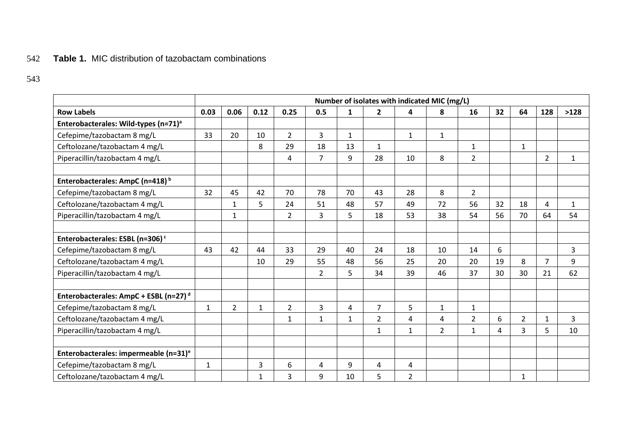# 542 **Table 1.** MIC distribution of tazobactam combinations

|                                                   | Number of isolates with indicated MIC (mg/L) |                |              |                |                |              |                |                |                |                |    |                |                |                |
|---------------------------------------------------|----------------------------------------------|----------------|--------------|----------------|----------------|--------------|----------------|----------------|----------------|----------------|----|----------------|----------------|----------------|
| <b>Row Labels</b>                                 | 0.03                                         | 0.06           | 0.12         | 0.25           | 0.5            | $\mathbf{1}$ | $\overline{2}$ | 4              | 8              | 16             | 32 | 64             | 128            | >128           |
| Enterobacterales: Wild-types (n=71) <sup>a</sup>  |                                              |                |              |                |                |              |                |                |                |                |    |                |                |                |
| Cefepime/tazobactam 8 mg/L                        | 33                                           | 20             | 10           | $\overline{2}$ | $\overline{3}$ | $\mathbf{1}$ |                | $\mathbf{1}$   | $\mathbf{1}$   |                |    |                |                |                |
| Ceftolozane/tazobactam 4 mg/L                     |                                              |                | 8            | 29             | 18             | 13           | $\mathbf{1}$   |                |                | $\mathbf{1}$   |    | $\mathbf{1}$   |                |                |
| Piperacillin/tazobactam 4 mg/L                    |                                              |                |              | 4              | $\overline{7}$ | 9            | 28             | 10             | 8              | $\overline{2}$ |    |                | $\overline{2}$ | $\mathbf{1}$   |
|                                                   |                                              |                |              |                |                |              |                |                |                |                |    |                |                |                |
| Enterobacterales: AmpC (n=418) <sup>b</sup>       |                                              |                |              |                |                |              |                |                |                |                |    |                |                |                |
| Cefepime/tazobactam 8 mg/L                        | 32                                           | 45             | 42           | 70             | 78             | 70           | 43             | 28             | 8              | $\overline{2}$ |    |                |                |                |
| Ceftolozane/tazobactam 4 mg/L                     |                                              | $\mathbf{1}$   | 5            | 24             | 51             | 48           | 57             | 49             | 72             | 56             | 32 | 18             | 4              | $\mathbf{1}$   |
| Piperacillin/tazobactam 4 mg/L                    |                                              | $\mathbf{1}$   |              | $\overline{2}$ | 3              | 5            | 18             | 53             | 38             | 54             | 56 | 70             | 64             | 54             |
|                                                   |                                              |                |              |                |                |              |                |                |                |                |    |                |                |                |
| Enterobacterales: ESBL (n=306) <sup>c</sup>       |                                              |                |              |                |                |              |                |                |                |                |    |                |                |                |
| Cefepime/tazobactam 8 mg/L                        | 43                                           | 42             | 44           | 33             | 29             | 40           | 24             | 18             | 10             | 14             | 6  |                |                | 3              |
| Ceftolozane/tazobactam 4 mg/L                     |                                              |                | 10           | 29             | 55             | 48           | 56             | 25             | 20             | 20             | 19 | 8              | $\overline{7}$ | 9              |
| Piperacillin/tazobactam 4 mg/L                    |                                              |                |              |                | $\overline{2}$ | 5            | 34             | 39             | 46             | 37             | 30 | 30             | 21             | 62             |
|                                                   |                                              |                |              |                |                |              |                |                |                |                |    |                |                |                |
| Enterobacterales: AmpC + ESBL (n=27) <sup>d</sup> |                                              |                |              |                |                |              |                |                |                |                |    |                |                |                |
| Cefepime/tazobactam 8 mg/L                        | $\mathbf{1}$                                 | $\overline{2}$ | $\mathbf{1}$ | $\overline{2}$ | 3              | 4            | $\overline{7}$ | 5              | $\mathbf{1}$   | $\mathbf 1$    |    |                |                |                |
| Ceftolozane/tazobactam 4 mg/L                     |                                              |                |              | $\mathbf{1}$   | $\mathbf{1}$   | $\mathbf{1}$ | $\overline{2}$ | 4              | 4              | $\overline{2}$ | 6  | $\overline{2}$ | $\mathbf{1}$   | $\overline{3}$ |
| Piperacillin/tazobactam 4 mg/L                    |                                              |                |              |                |                |              | $\mathbf{1}$   | $\mathbf{1}$   | $\overline{2}$ | $\mathbf{1}$   | 4  | 3              | 5              | 10             |
|                                                   |                                              |                |              |                |                |              |                |                |                |                |    |                |                |                |
| Enterobacterales: impermeable (n=31) <sup>e</sup> |                                              |                |              |                |                |              |                |                |                |                |    |                |                |                |
| Cefepime/tazobactam 8 mg/L                        | $\mathbf{1}$                                 |                | 3            | 6              | 4              | 9            | 4              | 4              |                |                |    |                |                |                |
| Ceftolozane/tazobactam 4 mg/L                     |                                              |                | 1            | 3              | 9              | 10           | 5              | $\overline{2}$ |                |                |    | $\mathbf{1}$   |                |                |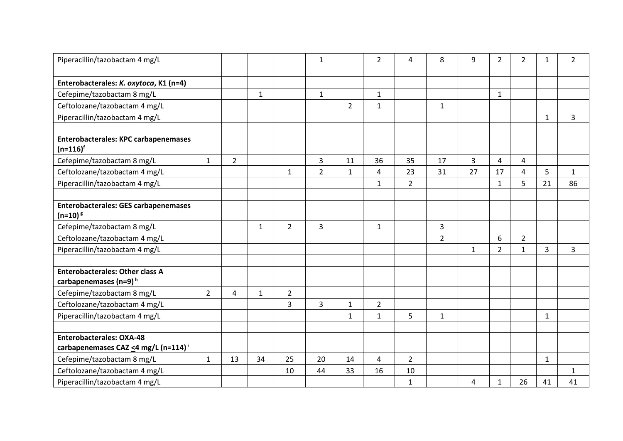| Piperacillin/tazobactam 4 mg/L                                                     |                |                |              |                | $\mathbf{1}$   |                | $\overline{2}$ | 4              | 8              | 9              | $\overline{2}$ | 2              | 1            | $\overline{2}$ |
|------------------------------------------------------------------------------------|----------------|----------------|--------------|----------------|----------------|----------------|----------------|----------------|----------------|----------------|----------------|----------------|--------------|----------------|
|                                                                                    |                |                |              |                |                |                |                |                |                |                |                |                |              |                |
| Enterobacterales: K. oxytoca, K1 (n=4)                                             |                |                |              |                |                |                |                |                |                |                |                |                |              |                |
| Cefepime/tazobactam 8 mg/L                                                         |                |                | $\mathbf{1}$ |                | $\mathbf{1}$   |                | $\mathbf{1}$   |                |                |                | $\mathbf{1}$   |                |              |                |
| Ceftolozane/tazobactam 4 mg/L                                                      |                |                |              |                |                | $\overline{2}$ | 1              |                | $\mathbf{1}$   |                |                |                |              |                |
| Piperacillin/tazobactam 4 mg/L                                                     |                |                |              |                |                |                |                |                |                |                |                |                | $\mathbf{1}$ | 3              |
|                                                                                    |                |                |              |                |                |                |                |                |                |                |                |                |              |                |
| <b>Enterobacterales: KPC carbapenemases</b><br>$(n=116)^f$                         |                |                |              |                |                |                |                |                |                |                |                |                |              |                |
| Cefepime/tazobactam 8 mg/L                                                         | $\mathbf{1}$   | $\overline{2}$ |              |                | 3              | 11             | 36             | 35             | 17             | $\overline{3}$ | 4              | 4              |              |                |
| Ceftolozane/tazobactam 4 mg/L                                                      |                |                |              | $\mathbf{1}$   | $\overline{2}$ | $\mathbf{1}$   | $\overline{4}$ | 23             | 31             | 27             | 17             | $\overline{4}$ | 5            | $\mathbf{1}$   |
| Piperacillin/tazobactam 4 mg/L                                                     |                |                |              |                |                |                | $\mathbf{1}$   | $\overline{2}$ |                |                | $\mathbf{1}$   | 5              | 21           | 86             |
|                                                                                    |                |                |              |                |                |                |                |                |                |                |                |                |              |                |
| <b>Enterobacterales: GES carbapenemases</b><br>$(n=10)^{g}$                        |                |                |              |                |                |                |                |                |                |                |                |                |              |                |
| Cefepime/tazobactam 8 mg/L                                                         |                |                | $\mathbf{1}$ | $\overline{2}$ | $\overline{3}$ |                | $\mathbf{1}$   |                | 3              |                |                |                |              |                |
| Ceftolozane/tazobactam 4 mg/L                                                      |                |                |              |                |                |                |                |                | $\overline{2}$ |                | 6              | $\overline{2}$ |              |                |
| Piperacillin/tazobactam 4 mg/L                                                     |                |                |              |                |                |                |                |                |                | $\mathbf{1}$   | $\overline{2}$ | $\mathbf{1}$   | 3            | 3              |
|                                                                                    |                |                |              |                |                |                |                |                |                |                |                |                |              |                |
| <b>Enterobacterales: Other class A</b>                                             |                |                |              |                |                |                |                |                |                |                |                |                |              |                |
| carbapenemases (n=9) <sup>h</sup>                                                  |                |                |              |                |                |                |                |                |                |                |                |                |              |                |
| Cefepime/tazobactam 8 mg/L                                                         | $\overline{2}$ | 4              | $\mathbf{1}$ | $\overline{2}$ |                |                |                |                |                |                |                |                |              |                |
| Ceftolozane/tazobactam 4 mg/L                                                      |                |                |              | $\overline{3}$ | $\overline{3}$ | $\mathbf{1}$   | $\overline{2}$ |                |                |                |                |                |              |                |
| Piperacillin/tazobactam 4 mg/L                                                     |                |                |              |                |                | $\mathbf{1}$   | $\mathbf{1}$   | 5              | $\mathbf{1}$   |                |                |                | $\mathbf{1}$ |                |
|                                                                                    |                |                |              |                |                |                |                |                |                |                |                |                |              |                |
| <b>Enterobacterales: OXA-48</b><br>carbapenemases CAZ <4 mg/L (n=114) <sup>i</sup> |                |                |              |                |                |                |                |                |                |                |                |                |              |                |
| Cefepime/tazobactam 8 mg/L                                                         | $\mathbf{1}$   | 13             | 34           | 25             | 20             | 14             | 4              | $\overline{2}$ |                |                |                |                | $\mathbf{1}$ |                |
| Ceftolozane/tazobactam 4 mg/L                                                      |                |                |              | 10             | 44             | 33             | 16             | 10             |                |                |                |                |              | $\mathbf{1}$   |
| Piperacillin/tazobactam 4 mg/L                                                     |                |                |              |                |                |                |                | $\mathbf{1}$   |                | 4              | 1              | 26             | 41           | 41             |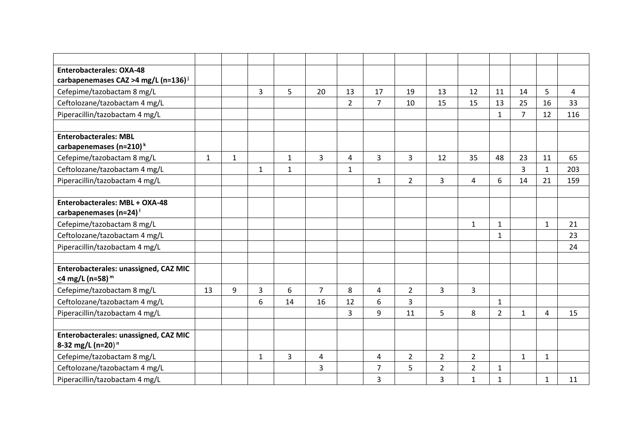| <b>Enterobacterales: OXA-48</b>                                        |              |              |              |              |                |                |                |                |                |                |                |                |              |     |
|------------------------------------------------------------------------|--------------|--------------|--------------|--------------|----------------|----------------|----------------|----------------|----------------|----------------|----------------|----------------|--------------|-----|
| carbapenemases CAZ >4 mg/L (n=136) <sup>i</sup>                        |              |              |              |              |                |                |                |                |                |                |                |                |              |     |
| Cefepime/tazobactam 8 mg/L                                             |              |              | 3            | 5            | 20             | 13             | 17             | 19             | 13             | 12             | 11             | 14             | 5            | 4   |
| Ceftolozane/tazobactam 4 mg/L                                          |              |              |              |              |                | $\overline{2}$ | 7              | 10             | 15             | 15             | 13             | 25             | 16           | 33  |
| Piperacillin/tazobactam 4 mg/L                                         |              |              |              |              |                |                |                |                |                |                | $\mathbf{1}$   | $\overline{7}$ | 12           | 116 |
|                                                                        |              |              |              |              |                |                |                |                |                |                |                |                |              |     |
| <b>Enterobacterales: MBL</b>                                           |              |              |              |              |                |                |                |                |                |                |                |                |              |     |
| carbapenemases (n=210) <sup>k</sup>                                    |              |              |              |              |                |                |                |                |                |                |                |                |              |     |
| Cefepime/tazobactam 8 mg/L                                             | $\mathbf{1}$ | $\mathbf{1}$ |              | $\mathbf{1}$ | $\mathbf{3}$   | 4              | 3              | 3              | 12             | 35             | 48             | 23             | 11           | 65  |
| Ceftolozane/tazobactam 4 mg/L                                          |              |              | 1            | $\mathbf{1}$ |                | $\mathbf{1}$   |                |                |                |                |                | 3              | $\mathbf{1}$ | 203 |
| Piperacillin/tazobactam 4 mg/L                                         |              |              |              |              |                |                | $\mathbf{1}$   | $\overline{2}$ | $\overline{3}$ | 4              | 6              | 14             | 21           | 159 |
|                                                                        |              |              |              |              |                |                |                |                |                |                |                |                |              |     |
| Enterobacterales: MBL + OXA-48                                         |              |              |              |              |                |                |                |                |                |                |                |                |              |     |
| carbapenemases (n=24)                                                  |              |              |              |              |                |                |                |                |                |                |                |                |              |     |
| Cefepime/tazobactam 8 mg/L                                             |              |              |              |              |                |                |                |                |                | $\mathbf{1}$   | $\mathbf{1}$   |                | $\mathbf{1}$ | 21  |
| Ceftolozane/tazobactam 4 mg/L                                          |              |              |              |              |                |                |                |                |                |                | $\mathbf{1}$   |                |              | 23  |
| Piperacillin/tazobactam 4 mg/L                                         |              |              |              |              |                |                |                |                |                |                |                |                |              | 24  |
|                                                                        |              |              |              |              |                |                |                |                |                |                |                |                |              |     |
| Enterobacterales: unassigned, CAZ MIC                                  |              |              |              |              |                |                |                |                |                |                |                |                |              |     |
| <4 mg/L (n=58) <sup>m</sup>                                            |              |              |              |              |                |                |                |                |                |                |                |                |              |     |
| Cefepime/tazobactam 8 mg/L                                             | 13           | 9            | 3            | 6            | $\overline{7}$ | 8              | 4              | $\overline{2}$ | 3              | 3              |                |                |              |     |
| Ceftolozane/tazobactam 4 mg/L                                          |              |              | 6            | 14           | 16             | 12             | 6              | 3              |                |                | $\mathbf 1$    |                |              |     |
| Piperacillin/tazobactam 4 mg/L                                         |              |              |              |              |                | 3              | 9              | 11             | 5              | 8              | $\overline{2}$ | $\mathbf{1}$   | 4            | 15  |
|                                                                        |              |              |              |              |                |                |                |                |                |                |                |                |              |     |
| Enterobacterales: unassigned, CAZ MIC<br>8-32 mg/L (n=20) <sup>n</sup> |              |              |              |              |                |                |                |                |                |                |                |                |              |     |
| Cefepime/tazobactam 8 mg/L                                             |              |              | $\mathbf{1}$ | 3            | 4              |                | 4              | $\overline{2}$ | $\overline{2}$ | $\overline{2}$ |                | $\mathbf{1}$   | $\mathbf{1}$ |     |
| Ceftolozane/tazobactam 4 mg/L                                          |              |              |              |              | 3              |                | $\overline{7}$ | 5              | $\overline{2}$ | $\overline{2}$ | $\mathbf{1}$   |                |              |     |
| Piperacillin/tazobactam 4 mg/L                                         |              |              |              |              |                |                | 3              |                | 3              | $\mathbf{1}$   | $\mathbf{1}$   |                | $\mathbf{1}$ | 11  |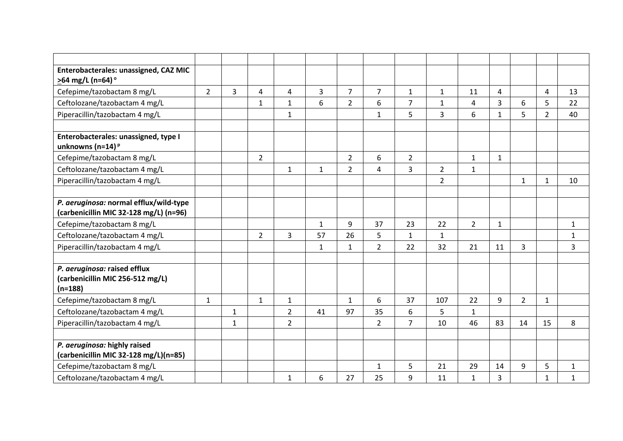| Enterobacterales: unassigned, CAZ MIC  |                |                |                |                |                |                |                |                |                |                |                  |                |                |              |
|----------------------------------------|----------------|----------------|----------------|----------------|----------------|----------------|----------------|----------------|----------------|----------------|------------------|----------------|----------------|--------------|
| >64 mg/L (n=64)°                       |                |                |                |                |                |                |                |                |                |                |                  |                |                |              |
| Cefepime/tazobactam 8 mg/L             | $\overline{2}$ | $\overline{3}$ | 4              | 4              | $\overline{3}$ | $\overline{7}$ | $\overline{7}$ | $\mathbf{1}$   | $\mathbf{1}$   | 11             | $\overline{4}$   |                | $\overline{4}$ | 13           |
| Ceftolozane/tazobactam 4 mg/L          |                |                | $\mathbf{1}$   | $\mathbf{1}$   | 6              | $\overline{2}$ | 6              | 7              | $\mathbf{1}$   | 4              | 3                | 6              | 5              | 22           |
| Piperacillin/tazobactam 4 mg/L         |                |                |                | $\mathbf{1}$   |                |                | $\mathbf{1}$   | 5              | 3              | 6              | $\mathbf{1}$     | 5              | $\overline{2}$ | 40           |
|                                        |                |                |                |                |                |                |                |                |                |                |                  |                |                |              |
| Enterobacterales: unassigned, type I   |                |                |                |                |                |                |                |                |                |                |                  |                |                |              |
| unknowns (n=14) $P$                    |                |                |                |                |                |                |                |                |                |                |                  |                |                |              |
| Cefepime/tazobactam 8 mg/L             |                |                | $\overline{2}$ |                |                | $\overline{2}$ | 6              | $\overline{2}$ |                | $\mathbf{1}$   | $\mathbf{1}$     |                |                |              |
| Ceftolozane/tazobactam 4 mg/L          |                |                |                | $\mathbf{1}$   | $\mathbf{1}$   | $\overline{2}$ | 4              | 3              | $\overline{2}$ | $\mathbf{1}$   |                  |                |                |              |
| Piperacillin/tazobactam 4 mg/L         |                |                |                |                |                |                |                |                | $\overline{2}$ |                |                  | $\mathbf{1}$   | $\mathbf{1}$   | 10           |
|                                        |                |                |                |                |                |                |                |                |                |                |                  |                |                |              |
| P. aeruginosa: normal efflux/wild-type |                |                |                |                |                |                |                |                |                |                |                  |                |                |              |
| (carbenicillin MIC 32-128 mg/L) (n=96) |                |                |                |                |                |                |                |                |                |                |                  |                |                |              |
| Cefepime/tazobactam 8 mg/L             |                |                |                |                | $\mathbf{1}$   | 9              | 37             | 23             | 22             | $\overline{2}$ | $\mathbf{1}$     |                |                | $\mathbf{1}$ |
| Ceftolozane/tazobactam 4 mg/L          |                |                | $\overline{2}$ | 3              | 57             | 26             | 5              | $\mathbf{1}$   | $\mathbf{1}$   |                |                  |                |                | $\mathbf 1$  |
| Piperacillin/tazobactam 4 mg/L         |                |                |                |                | $\mathbf{1}$   | $\mathbf{1}$   | $\overline{2}$ | 22             | 32             | 21             | 11               | 3              |                | 3            |
|                                        |                |                |                |                |                |                |                |                |                |                |                  |                |                |              |
| P. aeruginosa: raised efflux           |                |                |                |                |                |                |                |                |                |                |                  |                |                |              |
| (carbenicillin MIC 256-512 mg/L)       |                |                |                |                |                |                |                |                |                |                |                  |                |                |              |
| $(n=188)$                              |                |                |                |                |                |                |                |                |                |                |                  |                |                |              |
| Cefepime/tazobactam 8 mg/L             | $\mathbf{1}$   |                | $\mathbf{1}$   | $\mathbf{1}$   |                | $\mathbf{1}$   | 6              | 37             | 107            | 22             | $\boldsymbol{9}$ | $\overline{2}$ | $\mathbf{1}$   |              |
| Ceftolozane/tazobactam 4 mg/L          |                | $\mathbf{1}$   |                | $\overline{2}$ | 41             | 97             | 35             | 6              | 5              | $\mathbf{1}$   |                  |                |                |              |
| Piperacillin/tazobactam 4 mg/L         |                | $\mathbf{1}$   |                | $\overline{2}$ |                |                | $\overline{2}$ | $\overline{7}$ | 10             | 46             | 83               | 14             | 15             | 8            |
|                                        |                |                |                |                |                |                |                |                |                |                |                  |                |                |              |
| P. aeruginosa: highly raised           |                |                |                |                |                |                |                |                |                |                |                  |                |                |              |
| (carbenicillin MIC 32-128 mg/L)(n=85)  |                |                |                |                |                |                |                |                |                |                |                  |                |                |              |
| Cefepime/tazobactam 8 mg/L             |                |                |                |                |                |                | $\mathbf{1}$   | 5              | 21             | 29             | 14               | 9              | 5              | $\mathbf{1}$ |
| Ceftolozane/tazobactam 4 mg/L          |                |                |                | $\mathbf{1}$   | 6              | 27             | 25             | 9              | 11             | $\mathbf{1}$   | 3                |                | $\mathbf{1}$   | $\mathbf{1}$ |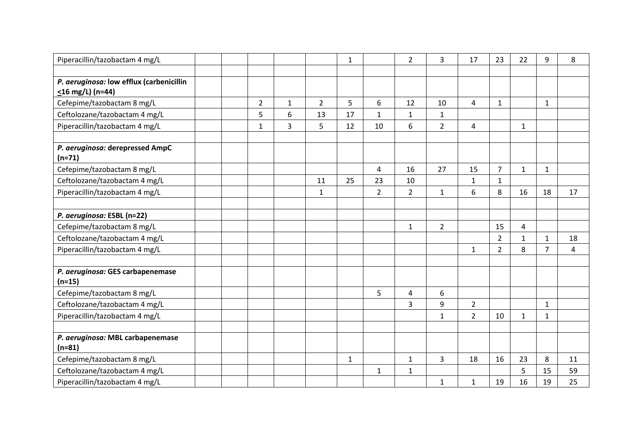| Piperacillin/tazobactam 4 mg/L               |  |                |              |                | $\mathbf{1}$ |                | $\overline{2}$ | 3              | 17                      | 23             | 22           | 9              | 8  |
|----------------------------------------------|--|----------------|--------------|----------------|--------------|----------------|----------------|----------------|-------------------------|----------------|--------------|----------------|----|
|                                              |  |                |              |                |              |                |                |                |                         |                |              |                |    |
| P. aeruginosa: low efflux (carbenicillin     |  |                |              |                |              |                |                |                |                         |                |              |                |    |
| $\leq$ 16 mg/L) (n=44)                       |  |                |              |                |              |                |                |                |                         |                |              |                |    |
| Cefepime/tazobactam 8 mg/L                   |  | $\overline{2}$ | $\mathbf{1}$ | $\overline{2}$ | 5            | 6              | 12             | 10             | $\overline{4}$          | $\mathbf{1}$   |              | $\mathbf{1}$   |    |
| Ceftolozane/tazobactam 4 mg/L                |  | 5              | 6            | 13             | 17           | 1              | $\mathbf{1}$   | $\mathbf{1}$   |                         |                |              |                |    |
| Piperacillin/tazobactam 4 mg/L               |  | $\mathbf{1}$   | 3            | 5              | 12           | 10             | 6              | $\overline{2}$ | $\overline{\mathbf{4}}$ |                | $\mathbf{1}$ |                |    |
|                                              |  |                |              |                |              |                |                |                |                         |                |              |                |    |
| P. aeruginosa: derepressed AmpC              |  |                |              |                |              |                |                |                |                         |                |              |                |    |
| $(n=71)$                                     |  |                |              |                |              |                |                |                |                         |                |              |                |    |
| Cefepime/tazobactam 8 mg/L                   |  |                |              |                |              | 4              | 16             | 27             | 15                      | $\overline{7}$ | $\mathbf{1}$ | $\mathbf{1}$   |    |
| Ceftolozane/tazobactam 4 mg/L                |  |                |              | 11             | 25           | 23             | 10             |                | $\mathbf{1}$            | $\mathbf{1}$   |              |                |    |
| Piperacillin/tazobactam 4 mg/L               |  |                |              | $\mathbf{1}$   |              | $\overline{2}$ | $\overline{2}$ | $\mathbf{1}$   | 6                       | 8              | 16           | 18             | 17 |
|                                              |  |                |              |                |              |                |                |                |                         |                |              |                |    |
| P. aeruginosa: ESBL (n=22)                   |  |                |              |                |              |                |                |                |                         |                |              |                |    |
| Cefepime/tazobactam 8 mg/L                   |  |                |              |                |              |                | $\mathbf{1}$   | $\overline{2}$ |                         | 15             | 4            |                |    |
| Ceftolozane/tazobactam 4 mg/L                |  |                |              |                |              |                |                |                |                         | $\overline{2}$ | $\mathbf{1}$ | $\mathbf{1}$   | 18 |
| Piperacillin/tazobactam 4 mg/L               |  |                |              |                |              |                |                |                | $\mathbf{1}$            | $\overline{2}$ | 8            | $\overline{7}$ | 4  |
|                                              |  |                |              |                |              |                |                |                |                         |                |              |                |    |
| P. aeruginosa: GES carbapenemase             |  |                |              |                |              |                |                |                |                         |                |              |                |    |
| $(n=15)$                                     |  |                |              |                |              |                |                |                |                         |                |              |                |    |
| Cefepime/tazobactam 8 mg/L                   |  |                |              |                |              | 5              | 4              | 6              |                         |                |              |                |    |
| Ceftolozane/tazobactam 4 mg/L                |  |                |              |                |              |                | 3              | 9              | $\overline{2}$          |                |              | $\mathbf{1}$   |    |
| Piperacillin/tazobactam 4 mg/L               |  |                |              |                |              |                |                | $\mathbf{1}$   | $\overline{2}$          | 10             | $\mathbf{1}$ | $\mathbf{1}$   |    |
|                                              |  |                |              |                |              |                |                |                |                         |                |              |                |    |
| P. aeruginosa: MBL carbapenemase<br>$(n=81)$ |  |                |              |                |              |                |                |                |                         |                |              |                |    |
| Cefepime/tazobactam 8 mg/L                   |  |                |              |                | $\mathbf{1}$ |                | $\mathbf 1$    | 3              | 18                      | 16             | 23           | 8              | 11 |
| Ceftolozane/tazobactam 4 mg/L                |  |                |              |                |              | $\mathbf{1}$   | $\mathbf{1}$   |                |                         |                | 5            | 15             | 59 |
| Piperacillin/tazobactam 4 mg/L               |  |                |              |                |              |                |                | 1              | $\mathbf{1}$            | 19             | 16           | 19             | 25 |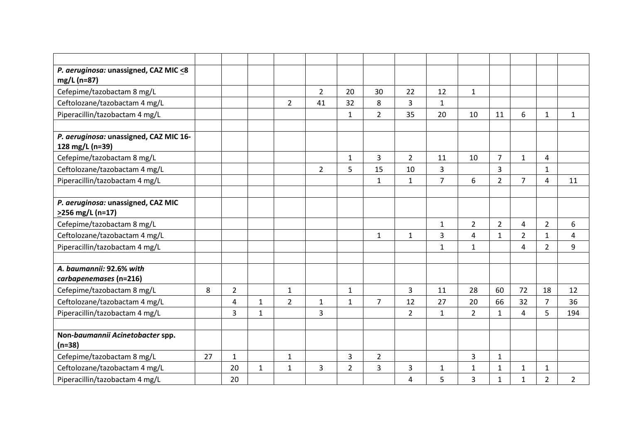| P. aeruginosa: unassigned, CAZ MIC <8                        |    |                |              |                |                |                |                |                |                |                |                |                |                |                |
|--------------------------------------------------------------|----|----------------|--------------|----------------|----------------|----------------|----------------|----------------|----------------|----------------|----------------|----------------|----------------|----------------|
| mg/L (n=87)                                                  |    |                |              |                |                |                |                |                |                |                |                |                |                |                |
| Cefepime/tazobactam 8 mg/L                                   |    |                |              |                | $\overline{2}$ | 20             | 30             | 22             | 12             | $\mathbf{1}$   |                |                |                |                |
| Ceftolozane/tazobactam 4 mg/L                                |    |                |              | $\overline{2}$ | 41             | 32             | 8              | 3              | $\mathbf{1}$   |                |                |                |                |                |
| Piperacillin/tazobactam 4 mg/L                               |    |                |              |                |                | $\mathbf{1}$   | $\overline{2}$ | 35             | 20             | 10             | 11             | 6              | $\mathbf{1}$   | $\mathbf{1}$   |
|                                                              |    |                |              |                |                |                |                |                |                |                |                |                |                |                |
| P. aeruginosa: unassigned, CAZ MIC 16-<br>128 mg/L (n=39)    |    |                |              |                |                |                |                |                |                |                |                |                |                |                |
| Cefepime/tazobactam 8 mg/L                                   |    |                |              |                |                | $\mathbf{1}$   | 3              | $\overline{2}$ | 11             | 10             | $\overline{7}$ | $\mathbf{1}$   | 4              |                |
| Ceftolozane/tazobactam 4 mg/L                                |    |                |              |                | $\overline{2}$ | 5              | 15             | 10             | 3              |                | $\overline{3}$ |                | $\mathbf{1}$   |                |
| Piperacillin/tazobactam 4 mg/L                               |    |                |              |                |                |                | $\mathbf{1}$   | $\mathbf{1}$   | $\overline{7}$ | 6              | $\overline{2}$ | $\overline{7}$ | 4              | 11             |
|                                                              |    |                |              |                |                |                |                |                |                |                |                |                |                |                |
| P. aeruginosa: unassigned, CAZ MIC<br>$\geq$ 256 mg/L (n=17) |    |                |              |                |                |                |                |                |                |                |                |                |                |                |
| Cefepime/tazobactam 8 mg/L                                   |    |                |              |                |                |                |                |                | $\mathbf{1}$   | $\overline{2}$ | $\overline{2}$ | $\overline{4}$ | $\overline{2}$ | 6              |
| Ceftolozane/tazobactam 4 mg/L                                |    |                |              |                |                |                | $\mathbf{1}$   | $\mathbf{1}$   | 3              | 4              | $\mathbf{1}$   | $\overline{2}$ | $\mathbf{1}$   | 4              |
| Piperacillin/tazobactam 4 mg/L                               |    |                |              |                |                |                |                |                | $\mathbf{1}$   | $\mathbf{1}$   |                | 4              | $\overline{2}$ | 9              |
|                                                              |    |                |              |                |                |                |                |                |                |                |                |                |                |                |
| A. baumannii: 92.6% with<br>carbapenemases (n=216)           |    |                |              |                |                |                |                |                |                |                |                |                |                |                |
| Cefepime/tazobactam 8 mg/L                                   | 8  | $\overline{2}$ |              | $\mathbf{1}$   |                | $\mathbf 1$    |                | 3              | 11             | 28             | 60             | 72             | 18             | 12             |
| Ceftolozane/tazobactam 4 mg/L                                |    | $\overline{4}$ | $\mathbf{1}$ | $\overline{2}$ | $\mathbf{1}$   | $\mathbf{1}$   | $\overline{7}$ | 12             | 27             | 20             | 66             | 32             | $\overline{7}$ | 36             |
| Piperacillin/tazobactam 4 mg/L                               |    | $\overline{3}$ | $\mathbf{1}$ |                | 3              |                |                | $\overline{2}$ | $\mathbf{1}$   | $\overline{2}$ | $\mathbf{1}$   | 4              | 5              | 194            |
|                                                              |    |                |              |                |                |                |                |                |                |                |                |                |                |                |
| Non-baumannii Acinetobacter spp.<br>$(n=38)$                 |    |                |              |                |                |                |                |                |                |                |                |                |                |                |
| Cefepime/tazobactam 8 mg/L                                   | 27 | $\mathbf{1}$   |              | $\mathbf{1}$   |                | 3              | $\overline{2}$ |                |                | 3              | $\mathbf{1}$   |                |                |                |
| Ceftolozane/tazobactam 4 mg/L                                |    | 20             | $\mathbf{1}$ | $\mathbf{1}$   | 3              | $\overline{2}$ | 3              | 3              | 1              | $\mathbf{1}$   | $\mathbf{1}$   | $\mathbf{1}$   | $\mathbf{1}$   |                |
| Piperacillin/tazobactam 4 mg/L                               |    | 20             |              |                |                |                |                | 4              | 5              | 3              | $\mathbf{1}$   | 1              | $\overline{2}$ | $\overline{2}$ |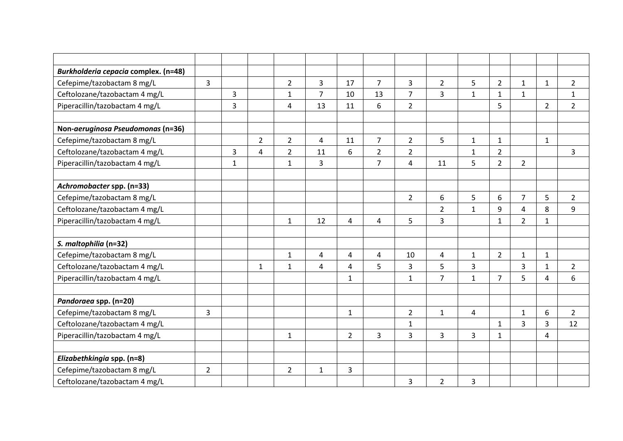| Burkholderia cepacia complex. (n=48) |                |              |                |                |                |                |                |                |                |                |                |                |                |                |
|--------------------------------------|----------------|--------------|----------------|----------------|----------------|----------------|----------------|----------------|----------------|----------------|----------------|----------------|----------------|----------------|
| Cefepime/tazobactam 8 mg/L           | 3              |              |                | $\overline{2}$ | $\overline{3}$ | 17             | $\overline{7}$ | 3              | $\overline{2}$ | 5              | $\overline{2}$ | $\mathbf{1}$   | $\mathbf{1}$   | $\overline{2}$ |
| Ceftolozane/tazobactam 4 mg/L        |                | 3            |                | $\mathbf{1}$   | 7              | 10             | 13             | $\overline{7}$ | $\overline{3}$ | $\mathbf{1}$   | $\mathbf{1}$   | $\mathbf{1}$   |                | $\mathbf{1}$   |
| Piperacillin/tazobactam 4 mg/L       |                | 3            |                | $\overline{4}$ | 13             | 11             | 6              | $\overline{2}$ |                |                | 5              |                | $\overline{2}$ | $\overline{2}$ |
|                                      |                |              |                |                |                |                |                |                |                |                |                |                |                |                |
| Non-aeruginosa Pseudomonas (n=36)    |                |              |                |                |                |                |                |                |                |                |                |                |                |                |
| Cefepime/tazobactam 8 mg/L           |                |              | $\overline{2}$ | $\overline{2}$ | 4              | 11             | 7              | $\overline{2}$ | 5              | $\mathbf{1}$   | $\mathbf{1}$   |                | 1              |                |
| Ceftolozane/tazobactam 4 mg/L        |                | 3            | $\overline{4}$ | $\overline{2}$ | 11             | 6              | $\overline{2}$ | $\overline{2}$ |                | $\mathbf{1}$   | $\overline{2}$ |                |                | $\overline{3}$ |
| Piperacillin/tazobactam 4 mg/L       |                | $\mathbf{1}$ |                | $\mathbf{1}$   | 3              |                | $\overline{7}$ | $\overline{4}$ | 11             | 5              | $\overline{2}$ | $\overline{2}$ |                |                |
|                                      |                |              |                |                |                |                |                |                |                |                |                |                |                |                |
| Achromobacter spp. (n=33)            |                |              |                |                |                |                |                |                |                |                |                |                |                |                |
| Cefepime/tazobactam 8 mg/L           |                |              |                |                |                |                |                | $\overline{2}$ | 6              | 5              | 6              | $\overline{7}$ | 5              | $\overline{2}$ |
| Ceftolozane/tazobactam 4 mg/L        |                |              |                |                |                |                |                |                | $\overline{2}$ | $\mathbf{1}$   | 9              | $\overline{4}$ | 8              | 9              |
| Piperacillin/tazobactam 4 mg/L       |                |              |                | $\mathbf{1}$   | 12             | 4              | 4              | 5              | $\overline{3}$ |                | $\mathbf{1}$   | $\overline{2}$ | $\mathbf{1}$   |                |
|                                      |                |              |                |                |                |                |                |                |                |                |                |                |                |                |
| S. maltophilia (n=32)                |                |              |                |                |                |                |                |                |                |                |                |                |                |                |
| Cefepime/tazobactam 8 mg/L           |                |              |                | $\mathbf{1}$   | 4              | 4              | 4              | 10             | 4              | $\mathbf{1}$   | $\overline{2}$ | $\mathbf{1}$   | $\mathbf{1}$   |                |
| Ceftolozane/tazobactam 4 mg/L        |                |              | $\mathbf{1}$   | $\mathbf{1}$   | 4              | 4              | 5              | 3              | 5              | $\overline{3}$ |                | 3              | $\mathbf{1}$   | $\overline{2}$ |
| Piperacillin/tazobactam 4 mg/L       |                |              |                |                |                | $\mathbf{1}$   |                | $\mathbf{1}$   | $\overline{7}$ | $\mathbf 1$    | $\overline{7}$ | 5              | $\overline{4}$ | 6              |
|                                      |                |              |                |                |                |                |                |                |                |                |                |                |                |                |
| Pandoraea spp. (n=20)                |                |              |                |                |                |                |                |                |                |                |                |                |                |                |
| Cefepime/tazobactam 8 mg/L           | 3              |              |                |                |                | $\mathbf{1}$   |                | $\overline{2}$ | $\mathbf{1}$   | 4              |                | $\mathbf{1}$   | 6              | $\overline{2}$ |
| Ceftolozane/tazobactam 4 mg/L        |                |              |                |                |                |                |                | $\mathbf{1}$   |                |                | $\mathbf{1}$   | 3              | 3              | 12             |
| Piperacillin/tazobactam 4 mg/L       |                |              |                | $\mathbf{1}$   |                | $\overline{2}$ | 3              | 3              | $\overline{3}$ | $\overline{3}$ | $\mathbf{1}$   |                | 4              |                |
|                                      |                |              |                |                |                |                |                |                |                |                |                |                |                |                |
| Elizabethkingia spp. (n=8)           |                |              |                |                |                |                |                |                |                |                |                |                |                |                |
| Cefepime/tazobactam 8 mg/L           | $\overline{2}$ |              |                | $\overline{2}$ | $\mathbf{1}$   | 3              |                |                |                |                |                |                |                |                |
| Ceftolozane/tazobactam 4 mg/L        |                |              |                |                |                |                |                | 3              | $\overline{2}$ | $\overline{3}$ |                |                |                |                |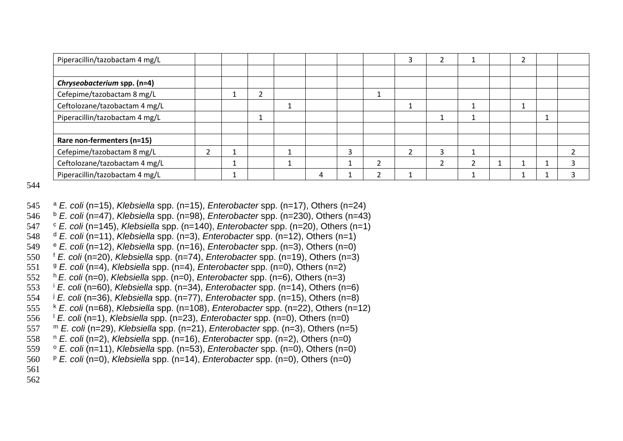| Piperacillin/tazobactam 4 mg/L |  |  |   |  |   |  |  |  |
|--------------------------------|--|--|---|--|---|--|--|--|
|                                |  |  |   |  |   |  |  |  |
| Chryseobacterium spp. (n=4)    |  |  |   |  |   |  |  |  |
| Cefepime/tazobactam 8 mg/L     |  |  |   |  |   |  |  |  |
| Ceftolozane/tazobactam 4 mg/L  |  |  |   |  |   |  |  |  |
| Piperacillin/tazobactam 4 mg/L |  |  |   |  |   |  |  |  |
|                                |  |  |   |  |   |  |  |  |
| Rare non-fermenters (n=15)     |  |  |   |  |   |  |  |  |
| Cefepime/tazobactam 8 mg/L     |  |  |   |  | Р |  |  |  |
| Ceftolozane/tazobactam 4 mg/L  |  |  |   |  |   |  |  |  |
| Piperacillin/tazobactam 4 mg/L |  |  | 4 |  |   |  |  |  |

- <sup>a</sup> *E. coli* (n=15), *Klebsiella* spp. (n=15), *Enterobacter* spp. (n=17), Others (n=24)
- <sup>b</sup> *E. coli* (n=47), *Klebsiella* spp. (n=98), *Enterobacter* spp. (n=230), Others (n=43)
- <sup>c</sup> *E. coli* (n=145), *Klebsiella* spp. (n=140), *Enterobacter* spp. (n=20), Others (n= 1 )
- <sup>d</sup> *E. coli* (n=11), *Klebsiella* spp. (n=3), *Enterobacter* spp. (n=12), Others (n=1)
- <sup>e</sup> *E. coli* (n=12), *Klebsiella* spp. (n=16), *Enterobacter* spp. (n=3), Others (n=0)
- <sup>f</sup> *E. coli* (n=20), *Klebsiella* spp. (n=74), *Enterobacter* spp. (n=19), Others (n=3)
- <sup>g</sup> *E. coli* (n=4), *Klebsiella* spp. (n=4), *Enterobacter* spp. (n=0), Others (n=2)
- <sup>h</sup>*E. coli* (n=0), *Klebsiella* spp. (n=0), *Enterobacter* spp. (n=6), Others (n=3)
- <sup>i</sup> *E. coli* (n=60), *Klebsiella* spp. (n=34), *Enterobacter* spp. (n=14), Others (n=6)
- <sup>j</sup> *E. coli* (n=36), *Klebsiella* spp. (n=77), *Enterobacter* spp. (n=15), Others (n=8)
- <sup>k</sup> *E. coli* (n=68), *Klebsiella* spp. (n=108), *Enterobacter* spp. (n=22), Others (n=12)
- <sup>l</sup> *E. coli* (n=1), *Klebsiella* spp. (n=23), *Enterobacter* spp. (n=0), Others (n=0)
- m *E. coli* (n=29), *Klebsiella* spp. (n=21), *Enterobacter* spp. (n=3), Others (n=5)
- <sup>n</sup> *E. coli* (n=2), *Klebsiella* spp. (n=16), *Enterobacter* spp. (n=2), Others (n=0)
- <sup>o</sup> *E. coli* (n=11), *Klebsiella* spp. (n=53), *Enterobacter* spp. (n=0), Others (n=0)
- <sup>p</sup> *E. coli* (n=0), *Klebsiella* spp. (n=14), *Enterobacter* spp. (n=0), Others (n=0)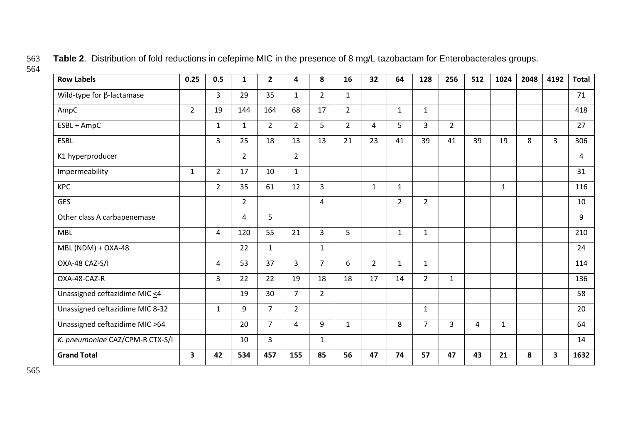| <b>Row Labels</b>                | 0.25                    | 0.5            | $\mathbf{1}$   | $\overline{2}$ | 4              | 8              | 16             | 32             | 64             | 128            | 256            | 512 | 1024         | 2048 | 4192 | <b>Total</b> |
|----------------------------------|-------------------------|----------------|----------------|----------------|----------------|----------------|----------------|----------------|----------------|----------------|----------------|-----|--------------|------|------|--------------|
| Wild-type for $\beta$ -lactamase |                         | 3              | 29             | 35             | $\mathbf{1}$   | $\overline{2}$ | $\mathbf{1}$   |                |                |                |                |     |              |      |      | 71           |
| AmpC                             | $2^{\circ}$             | 19             | 144            | 164            | 68             | 17             | $\overline{2}$ |                | $\mathbf{1}$   | $\mathbf{1}$   |                |     |              |      |      | 418          |
| ESBL + AmpC                      |                         | $\mathbf{1}$   | $\mathbf{1}$   | $\overline{2}$ | 2 <sup>1</sup> | 5              | $\overline{2}$ | 4              | 5              | $\overline{3}$ | $\overline{2}$ |     |              |      |      | 27           |
| <b>ESBL</b>                      |                         | 3              | 25             | 18             | 13             | 13             | 21             | 23             | 41             | 39             | 41             | 39  | 19           | 8    | 3    | 306          |
| K1 hyperproducer                 |                         |                | $\overline{2}$ |                | $2^{\circ}$    |                |                |                |                |                |                |     |              |      |      | 4            |
| Impermeability                   | $\mathbf{1}$            | $\overline{2}$ | 17             | 10             | $\mathbf{1}$   |                |                |                |                |                |                |     |              |      |      | 31           |
| <b>KPC</b>                       |                         | $\overline{2}$ | 35             | 61             | 12             | $\overline{3}$ |                | $\mathbf{1}$   | $\mathbf{1}$   |                |                |     | $\mathbf{1}$ |      |      | 116          |
| <b>GES</b>                       |                         |                | $\overline{2}$ |                |                | 4              |                |                | $\overline{2}$ | $\overline{2}$ |                |     |              |      |      | 10           |
| Other class A carbapenemase      |                         |                | 4              | 5              |                |                |                |                |                |                |                |     |              |      |      | 9            |
| <b>MBL</b>                       |                         | 4              | 120            | 55             | 21             | 3              | 5              |                | $\mathbf{1}$   | $\mathbf{1}$   |                |     |              |      |      | 210          |
| MBL (NDM) + OXA-48               |                         |                | 22             | $\mathbf{1}$   |                | $\mathbf{1}$   |                |                |                |                |                |     |              |      |      | 24           |
| OXA-48 CAZ-S/I                   |                         | 4              | 53             | 37             | $\mathbf{3}$   | $\overline{7}$ | 6              | $\overline{2}$ | $\mathbf{1}$   | $\mathbf{1}$   |                |     |              |      |      | 114          |
| OXA-48-CAZ-R                     |                         | 3              | 22             | 22             | 19             | 18             | 18             | 17             | 14             | $\overline{2}$ | $\mathbf{1}$   |     |              |      |      | 136          |
| Unassigned ceftazidime MIC <4    |                         |                | 19             | 30             | $\overline{7}$ | $\overline{2}$ |                |                |                |                |                |     |              |      |      | 58           |
| Unassigned ceftazidime MIC 8-32  |                         | $\mathbf{1}$   | 9              | $\overline{7}$ | $\overline{2}$ |                |                |                |                | $\mathbf{1}$   |                |     |              |      |      | 20           |
| Unassigned ceftazidime MIC >64   |                         |                | 20             | $\overline{7}$ | 4              | 9              | $\mathbf{1}$   |                | 8              | $\overline{7}$ | $\overline{3}$ | 4   | $\mathbf{1}$ |      |      | 64           |
| K. pneumoniae CAZ/CPM-R CTX-S/I  |                         |                | 10             | 3              |                | $\mathbf{1}$   |                |                |                |                |                |     |              |      |      | 14           |
| <b>Grand Total</b>               | $\overline{\mathbf{3}}$ | 42             | 534            | 457            | 155            | 85             | 56             | 47             | 74             | 57             | 47             | 43  | 21           | 8    | 3    | 1632         |

563 **Table 2**. Distribution of fold reductions in cefepime MIC in the presence of 8 mg/L tazobactam for Enterobacterales groups. 564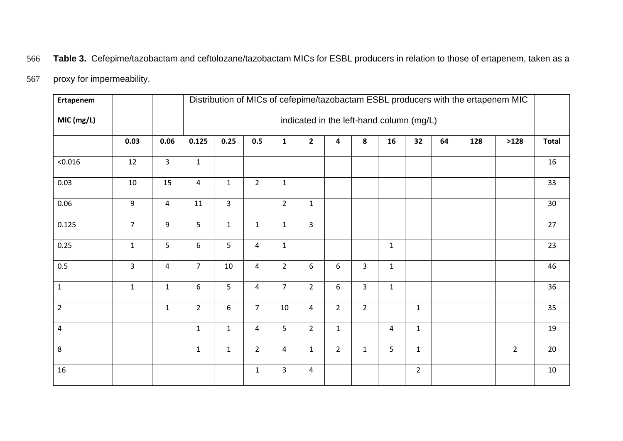# 566 **Table 3.** Cefepime/tazobactam and ceftolozane/tazobactam MICs for ESBL producers in relation to those of ertapenem, taken as a

# 567 proxy for impermeability.

| Ertapenem               |                |                |                  | Distribution of MICs of cefepime/tazobactam ESBL producers with the ertapenem MIC |                |                         |                |                |                |                |                |    |     |                |              |  |
|-------------------------|----------------|----------------|------------------|-----------------------------------------------------------------------------------|----------------|-------------------------|----------------|----------------|----------------|----------------|----------------|----|-----|----------------|--------------|--|
| MIC (mg/L)              |                |                |                  | indicated in the left-hand column (mg/L)                                          |                |                         |                |                |                |                |                |    |     |                |              |  |
|                         | 0.03           | 0.06           | 0.125            | 0.25                                                                              | 0.5            | $\mathbf{1}$            | $\mathbf{2}$   | 4              | 8              | 16             | 32             | 64 | 128 | >128           | <b>Total</b> |  |
| 50.016                  | 12             | $\overline{3}$ | $\mathbf 1$      |                                                                                   |                |                         |                |                |                |                |                |    |     |                | 16           |  |
| 0.03                    | 10             | 15             | $\overline{4}$   | $\mathbf{1}$                                                                      | $2^{\circ}$    | $\mathbf{1}$            |                |                |                |                |                |    |     |                | 33           |  |
| 0.06                    | 9              | $\overline{4}$ | 11               | $\overline{3}$                                                                    |                | $\overline{2}$          | $\mathbf{1}$   |                |                |                |                |    |     |                | 30           |  |
| 0.125                   | $\overline{7}$ | 9              | 5                | $\mathbf 1$                                                                       | $\mathbf{1}$   | $\mathbf{1}$            | $\overline{3}$ |                |                |                |                |    |     |                | 27           |  |
| 0.25                    | $\mathbf{1}$   | 5              | $\boldsymbol{6}$ | 5                                                                                 | $\overline{4}$ | $\mathbf{1}$            |                |                |                | $\mathbf{1}$   |                |    |     |                | 23           |  |
| 0.5                     | $\overline{3}$ | $\overline{4}$ | $\overline{7}$   | 10                                                                                | $\overline{4}$ | $\overline{2}$          | 6              | 6              | 3              | $\mathbf{1}$   |                |    |     |                | 46           |  |
| $\mathbf{1}$            | $\mathbf{1}$   | $\mathbf{1}$   | $\boldsymbol{6}$ | 5                                                                                 | $\overline{4}$ | $\overline{7}$          | $\overline{2}$ | 6              | 3              | $\mathbf{1}$   |                |    |     |                | 36           |  |
| $\overline{2}$          |                | $\mathbf{1}$   | $\overline{2}$   | 6                                                                                 | $\overline{7}$ | $10\,$                  | $\overline{4}$ | $\overline{2}$ | $\overline{2}$ |                | $\mathbf{1}$   |    |     |                | 35           |  |
| $\overline{\mathbf{4}}$ |                |                | $\mathbf{1}$     | $\mathbf{1}$                                                                      | 4              | 5                       | $\overline{2}$ | $\mathbf{1}$   |                | $\overline{4}$ | $\mathbf{1}$   |    |     |                | 19           |  |
| 8                       |                |                | $\mathbf{1}$     | $\mathbf 1$                                                                       | $2^{\circ}$    | $\overline{\mathbf{4}}$ | $\mathbf 1$    | $\overline{2}$ | $\mathbf{1}$   | 5              | $\mathbf{1}$   |    |     | $\overline{2}$ | 20           |  |
| 16                      |                |                |                  |                                                                                   | $\mathbf{1}$   | 3                       | $\overline{4}$ |                |                |                | $\overline{2}$ |    |     |                | 10           |  |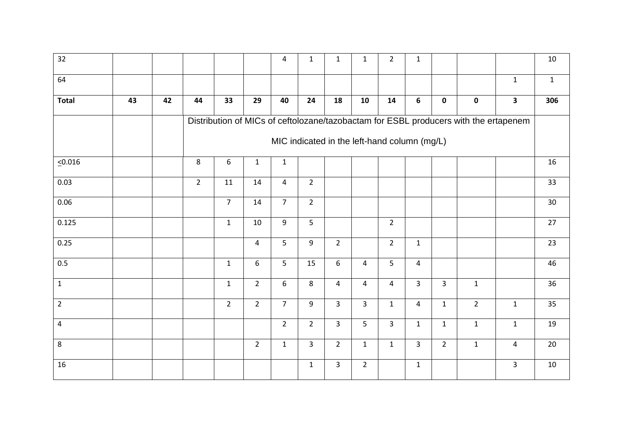| 32             |    |                                                                                      |                |                |                | 4              | $\mathbf{1}$   | $\mathbf{1}$   | $\mathbf{1}$   | $\overline{2}$ | $\mathbf{1}$   |                |                |                         | $10\,$       |
|----------------|----|--------------------------------------------------------------------------------------|----------------|----------------|----------------|----------------|----------------|----------------|----------------|----------------|----------------|----------------|----------------|-------------------------|--------------|
| 64             |    |                                                                                      |                |                |                |                |                |                |                |                |                |                |                | $\mathbf{1}$            | $\mathbf{1}$ |
| <b>Total</b>   | 43 | 42                                                                                   | 44             | 33             | 29             | 40             | 24             | 18             | 10             | 14             | $6\phantom{1}$ | $\mathbf 0$    | $\mathbf 0$    | $\overline{\mathbf{3}}$ | 306          |
|                |    | Distribution of MICs of ceftolozane/tazobactam for ESBL producers with the ertapenem |                |                |                |                |                |                |                |                |                |                |                |                         |              |
|                |    | MIC indicated in the left-hand column (mg/L)                                         |                |                |                |                |                |                |                |                |                |                |                |                         |              |
| $\leq 0.016$   |    |                                                                                      | 8              | 6              | $\mathbf 1$    | $\mathbf 1$    |                |                |                |                |                |                |                |                         | 16           |
| 0.03           |    |                                                                                      | $\overline{2}$ | $11\,$         | 14             | $\overline{4}$ | $\overline{2}$ |                |                |                |                |                |                |                         | 33           |
| 0.06           |    |                                                                                      |                | $\overline{7}$ | 14             | $\overline{7}$ | $\overline{2}$ |                |                |                |                |                |                |                         | 30           |
| 0.125          |    |                                                                                      |                | $\mathbf{1}$   | 10             | 9              | $5\phantom{.}$ |                |                | $\overline{2}$ |                |                |                |                         | 27           |
| 0.25           |    |                                                                                      |                |                | 4              | 5              | 9              | $2^{\circ}$    |                | $\overline{2}$ | $\mathbf{1}$   |                |                |                         | 23           |
| 0.5            |    |                                                                                      |                | $\mathbf{1}$   | 6              | 5              | 15             | 6              | $\overline{4}$ | 5              | $\overline{4}$ |                |                |                         | 46           |
| $\mathbf 1$    |    |                                                                                      |                | $\mathbf{1}$   | $\overline{2}$ | 6              | 8              | $\overline{4}$ | 4              | $\overline{4}$ | $\overline{3}$ | $\overline{3}$ | $\mathbf{1}$   |                         | 36           |
| $\overline{2}$ |    |                                                                                      |                | $\overline{2}$ | $\overline{2}$ | $\overline{7}$ | 9              | $\overline{3}$ | $\overline{3}$ | $\mathbf{1}$   | $\overline{4}$ | $\mathbf{1}$   | $\overline{2}$ | $\mathbf{1}$            | 35           |
| $\overline{4}$ |    |                                                                                      |                |                |                | $\overline{2}$ | $\overline{2}$ | $\overline{3}$ | 5              | $\overline{3}$ | $\mathbf{1}$   | $\mathbf{1}$   | $\mathbf{1}$   | $\mathbf{1}$            | 19           |
| 8              |    |                                                                                      |                |                | $\overline{2}$ | $\mathbf{1}$   | $\mathbf{3}$   | $2^{\circ}$    | $\mathbf{1}$   | $\mathbf{1}$   | $\overline{3}$ | $2^{\circ}$    | $\mathbf{1}$   | 4                       | 20           |
| 16             |    |                                                                                      |                |                |                |                | $\mathbf{1}$   | $\overline{3}$ | $\overline{2}$ |                | $\mathbf{1}$   |                |                | 3                       | $10\,$       |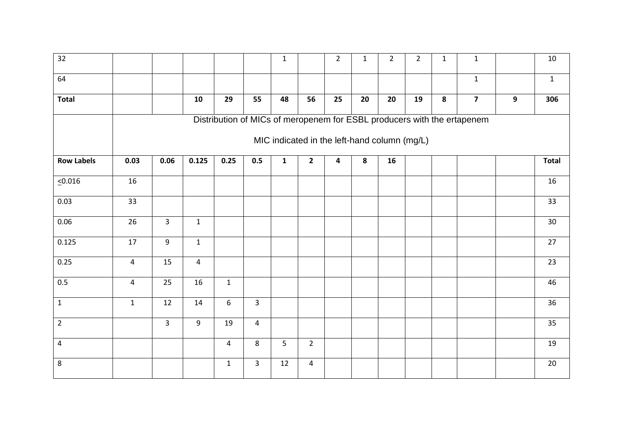| $\overline{32}$   |                                                                         |                |                |                |                | $\mathbf{1}$   |                | $\overline{2}$          | $\mathbf{1}$ | $\overline{2}$ | $\overline{2}$ | $\mathbf{1}$ | $\mathbf 1$             |   | $10\,$       |
|-------------------|-------------------------------------------------------------------------|----------------|----------------|----------------|----------------|----------------|----------------|-------------------------|--------------|----------------|----------------|--------------|-------------------------|---|--------------|
| 64                |                                                                         |                |                |                |                |                |                |                         |              |                |                |              | $\mathbf 1$             |   | $\mathbf{1}$ |
| <b>Total</b>      |                                                                         |                | 10             | 29             | 55             | 48             | 56             | 25                      | 20           | 20             | 19             | 8            | $\overline{\mathbf{z}}$ | 9 | 306          |
|                   | Distribution of MICs of meropenem for ESBL producers with the ertapenem |                |                |                |                |                |                |                         |              |                |                |              |                         |   |              |
|                   | MIC indicated in the left-hand column (mg/L)                            |                |                |                |                |                |                |                         |              |                |                |              |                         |   |              |
| <b>Row Labels</b> | 0.03                                                                    | 0.06           | 0.125          | 0.25           | 0.5            | $\mathbf 1$    | $\mathbf{2}$   | $\overline{\mathbf{4}}$ | 8            | 16             |                |              |                         |   | <b>Total</b> |
| 50.016            | 16                                                                      |                |                |                |                |                |                |                         |              |                |                |              |                         |   | 16           |
| 0.03              | 33                                                                      |                |                |                |                |                |                |                         |              |                |                |              |                         |   | 33           |
| 0.06              | 26                                                                      | $\overline{3}$ | $\mathbf{1}$   |                |                |                |                |                         |              |                |                |              |                         |   | 30           |
| 0.125             | 17                                                                      | $9\,$          | $\mathbf{1}$   |                |                |                |                |                         |              |                |                |              |                         |   | 27           |
| 0.25              | $\overline{4}$                                                          | 15             | $\overline{4}$ |                |                |                |                |                         |              |                |                |              |                         |   | 23           |
| 0.5               | $\pmb{4}$                                                               | 25             | 16             | $\mathbf{1}$   |                |                |                |                         |              |                |                |              |                         |   | 46           |
| $\mathbf{1}$      | $\mathbf{1}$                                                            | 12             | 14             | 6              | $\overline{3}$ |                |                |                         |              |                |                |              |                         |   | 36           |
| $\overline{2}$    |                                                                         | $\overline{3}$ | 9              | 19             | $\overline{4}$ |                |                |                         |              |                |                |              |                         |   | 35           |
| $\overline{a}$    |                                                                         |                |                | $\overline{4}$ | 8              | $5\phantom{.}$ | $\overline{2}$ |                         |              |                |                |              |                         |   | 19           |
| 8                 |                                                                         |                |                | $\mathbf{1}$   | 3              | 12             | 4              |                         |              |                |                |              |                         |   | 20           |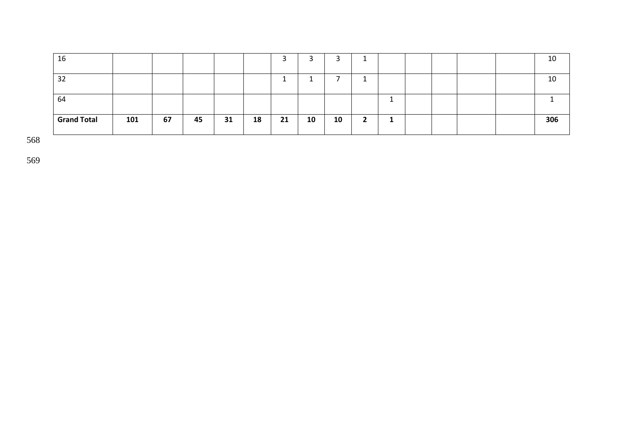| 16                 |     |    |    |    |    | ۰  | ∽<br>ے |    |  |  |  | 10  |
|--------------------|-----|----|----|----|----|----|--------|----|--|--|--|-----|
| 32                 |     |    |    |    |    |    |        |    |  |  |  | 10  |
| 64                 |     |    |    |    |    |    |        |    |  |  |  |     |
|                    |     |    |    |    |    |    |        |    |  |  |  |     |
| <b>Grand Total</b> | 101 | 67 | 45 | 31 | 18 | 21 | 10     | 10 |  |  |  | 306 |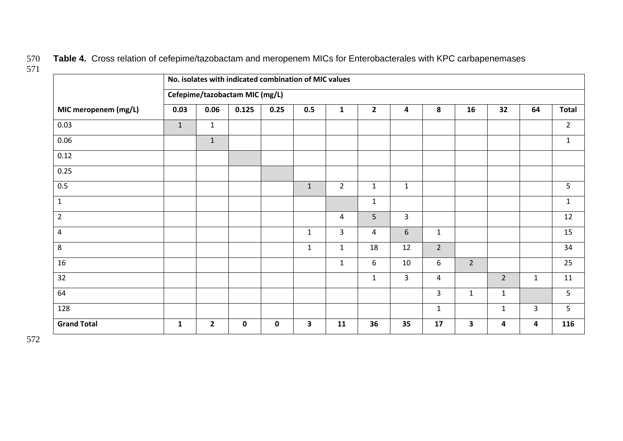570 **Table 4.** Cross relation of cefepime/tazobactam and meropenem MICs for Enterobacterales with KPC carbapenemases

|                      | No. isolates with indicated combination of MIC values |                |             |             |              |                |                |                         |                |                         |                |                         |                |  |
|----------------------|-------------------------------------------------------|----------------|-------------|-------------|--------------|----------------|----------------|-------------------------|----------------|-------------------------|----------------|-------------------------|----------------|--|
|                      | Cefepime/tazobactam MIC (mg/L)                        |                |             |             |              |                |                |                         |                |                         |                |                         |                |  |
| MIC meropenem (mg/L) | 0.03                                                  | 0.06           | 0.125       | 0.25        | 0.5          | $\mathbf{1}$   | $\overline{2}$ | $\overline{\mathbf{4}}$ | 8              | 16                      | 32             | 64                      | <b>Total</b>   |  |
| 0.03                 | $\mathbf{1}$                                          | $\mathbf{1}$   |             |             |              |                |                |                         |                |                         |                |                         | $\overline{2}$ |  |
| 0.06                 |                                                       | $1\,$          |             |             |              |                |                |                         |                |                         |                |                         | $\mathbf{1}$   |  |
| 0.12                 |                                                       |                |             |             |              |                |                |                         |                |                         |                |                         |                |  |
| 0.25                 |                                                       |                |             |             |              |                |                |                         |                |                         |                |                         |                |  |
| 0.5                  |                                                       |                |             |             | $\mathbf{1}$ | $\overline{2}$ | $\mathbf{1}$   | $\mathbf{1}$            |                |                         |                |                         | 5              |  |
| $\mathbf{1}$         |                                                       |                |             |             |              |                | $\mathbf{1}$   |                         |                |                         |                |                         | $\mathbf{1}$   |  |
| $\overline{2}$       |                                                       |                |             |             |              | 4              | 5              | $\mathbf{3}$            |                |                         |                |                         | 12             |  |
| $\overline{4}$       |                                                       |                |             |             | $\mathbf{1}$ | $\overline{3}$ | 4              | $6\,$                   | $\mathbf{1}$   |                         |                |                         | 15             |  |
| $\,8\,$              |                                                       |                |             |             | $\mathbf{1}$ | $\mathbf{1}$   | 18             | 12                      | $\overline{2}$ |                         |                |                         | 34             |  |
| 16                   |                                                       |                |             |             |              | $\mathbf{1}$   | 6              | 10                      | 6              | $\overline{2}$          |                |                         | 25             |  |
| 32                   |                                                       |                |             |             |              |                | $\mathbf{1}$   | $\mathbf{3}$            | 4              |                         | $\overline{2}$ | $\mathbf{1}$            | 11             |  |
| 64                   |                                                       |                |             |             |              |                |                |                         | $\overline{3}$ | $\mathbf{1}$            | $\mathbf{1}$   |                         | 5              |  |
| 128                  |                                                       |                |             |             |              |                |                |                         | $\mathbf{1}$   |                         | $\mathbf{1}$   | 3                       | 5              |  |
| <b>Grand Total</b>   | $\mathbf{1}$                                          | $\overline{2}$ | $\mathbf 0$ | $\mathbf 0$ | 3            | 11             | 36             | 35                      | 17             | $\overline{\mathbf{3}}$ | 4              | $\overline{\mathbf{4}}$ | 116            |  |

571